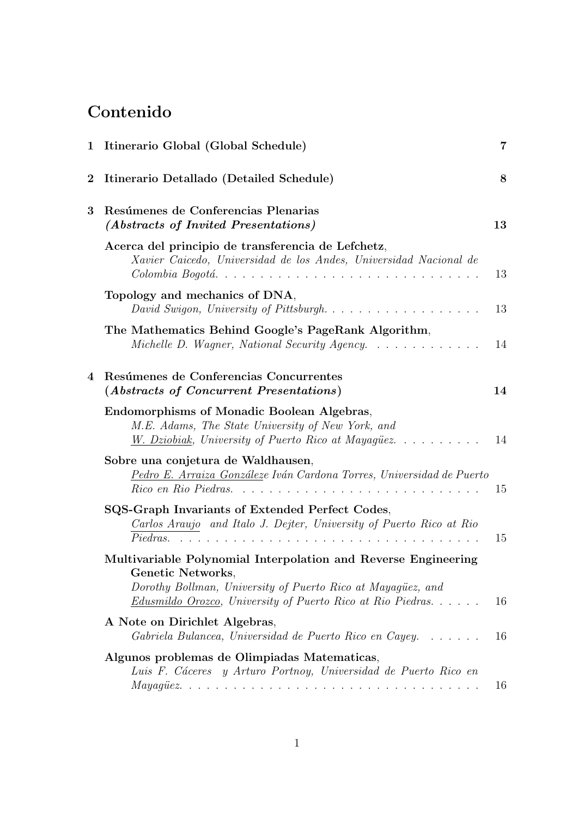# Contenido

|          | 1 Itinerario Global (Global Schedule)                                                                                                                         | $\overline{7}$ |
|----------|---------------------------------------------------------------------------------------------------------------------------------------------------------------|----------------|
| $\bf{2}$ | Itinerario Detallado (Detailed Schedule)                                                                                                                      | 8              |
| 3        | Resúmenes de Conferencias Plenarias<br>(Abstracts of Invited Presentations)                                                                                   | 13             |
|          | Acerca del principio de transferencia de Lefchetz,<br>Xavier Caicedo, Universidad de los Andes, Universidad Nacional de<br>Colombia Bogotá                    | 13             |
|          | Topology and mechanics of DNA,<br>David Swigon, University of Pittsburgh                                                                                      | 13             |
|          | The Mathematics Behind Google's PageRank Algorithm,<br>Michelle D. Wagner, National Security Agency.                                                          | 14             |
| 4        | Resúmenes de Conferencias Concurrentes<br>(Abstracts of Concurrent Presentations)                                                                             | 14             |
|          | Endomorphisms of Monadic Boolean Algebras,<br>M.E. Adams, The State University of New York, and<br><i>W. Dziobiak, University of Puerto Rico at Mayagüez.</i> | 14             |
|          | Sobre una conjetura de Waldhausen,<br>Pedro E. Arraiza Gonzáleze Iván Cardona Torres, Universidad de Puerto                                                   | 15             |
|          | SQS-Graph Invariants of Extended Perfect Codes,<br>Carlos Araujo and Italo J. Dejter, University of Puerto Rico at Rio<br>Piedras.                            | 15             |
|          | Multivariable Polynomial Interpolation and Reverse Engineering<br>Genetic Networks,<br>Dorothy Bollman, University of Puerto Rico at Mayagüez, and            |                |
|          | <i>Edusmildo Orozco, University of Puerto Rico at Rio Piedras</i>                                                                                             | 16             |
|          | A Note on Dirichlet Algebras,<br>Gabriela Bulancea, Universidad de Puerto Rico en Cayey                                                                       | 16             |
|          | Algunos problemas de Olimpiadas Matematicas,<br>Luis F. Cáceres y Arturo Portnoy, Universidad de Puerto Rico en                                               |                |
|          |                                                                                                                                                               | 16             |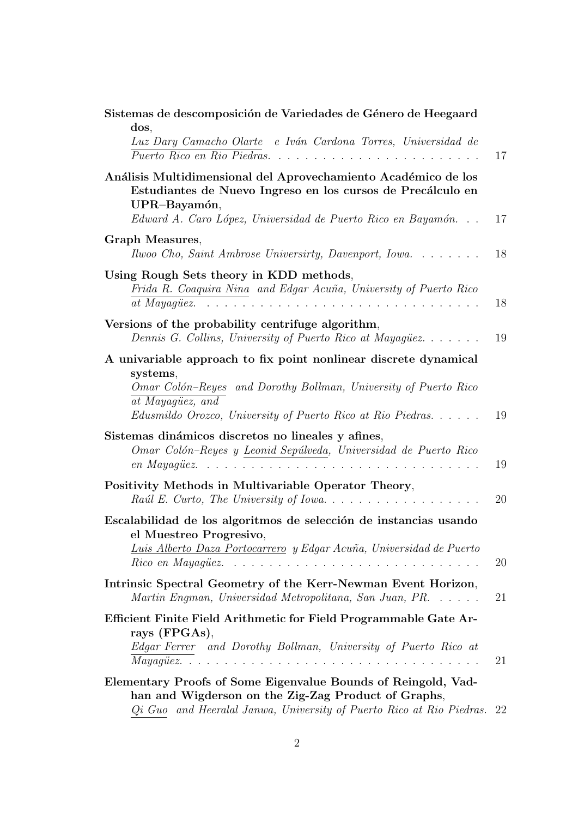| Sistemas de descomposición de Variedades de Género de Heegaard<br>dos,<br>Luz Dary Camacho Olarte e Iván Cardona Torres, Universidad de<br>Puerto Rico en Rio Piedras                                                             | 17 |
|-----------------------------------------------------------------------------------------------------------------------------------------------------------------------------------------------------------------------------------|----|
| Análisis Multidimensional del Aprovechamiento Académico de los<br>Estudiantes de Nuevo Ingreso en los cursos de Precálculo en<br>UPR-Bayamón,<br>Edward A. Caro López, Universidad de Puerto Rico en Bayamón                      | 17 |
| Graph Measures,<br>Ilwoo Cho, Saint Ambrose Universirty, Davenport, Iowa                                                                                                                                                          | 18 |
| Using Rough Sets theory in KDD methods,<br>Frida R. Coaquira Nina and Edgar Acuña, University of Puerto Rico<br>at Mayaqüez. $\ldots \ldots \ldots \ldots \ldots \ldots \ldots \ldots \ldots \ldots \ldots$                       |    |
| Versions of the probability centrifuge algorithm,<br>Dennis G. Collins, University of Puerto Rico at Mayaquez                                                                                                                     | 19 |
| A univariable approach to fix point nonlinear discrete dynamical<br>systems,<br>Omar Colón-Reyes and Dorothy Bollman, University of Puerto Rico<br>at Mayagüez, and<br>Edusmildo Orozco, University of Puerto Rico at Rio Piedras |    |
| Sistemas dinámicos discretos no lineales y afines,<br>Omar Colón-Reyes y Leonid Sepúlveda, Universidad de Puerto Rico                                                                                                             |    |
| Positivity Methods in Multivariable Operator Theory,                                                                                                                                                                              |    |
| Escalabilidad de los algoritmos de selección de instancias usando<br>el Muestreo Progresivo,<br><u>Luis Alberto Daza Portocarrero</u> y Edgar Acuña, Universidad de Puerto                                                        |    |
| Intrinsic Spectral Geometry of the Kerr-Newman Event Horizon,<br>Martin Engman, Universidad Metropolitana, San Juan, PR.                                                                                                          |    |
| Efficient Finite Field Arithmetic for Field Programmable Gate Ar-<br>rays (FPGAs),<br>Edgar Ferrer and Dorothy Bollman, University of Puerto Rico at                                                                              |    |
| Elementary Proofs of Some Eigenvalue Bounds of Reingold, Vad-<br>han and Wigderson on the Zig-Zag Product of Graphs,<br>Qi Guo and Heeralal Janwa, University of Puerto Rico at Rio Piedras. 22                                   |    |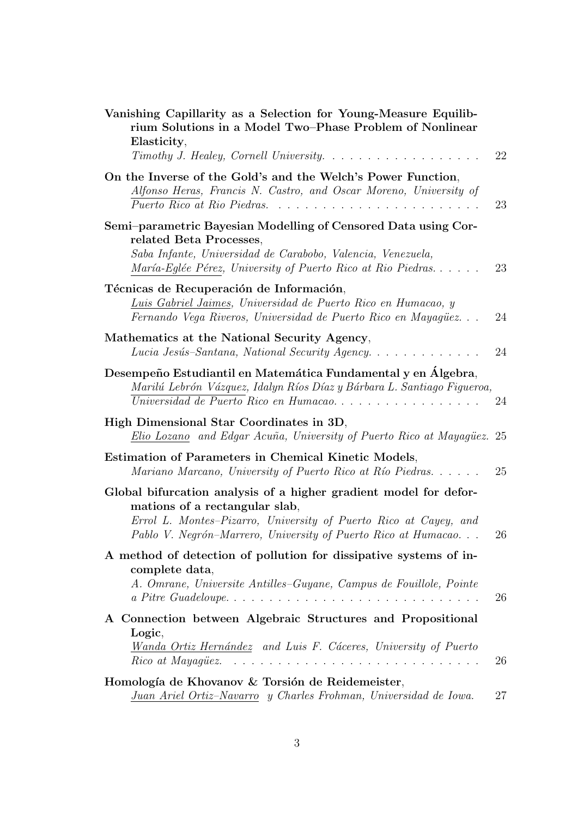| Vanishing Capillarity as a Selection for Young-Measure Equilib-<br>rium Solutions in a Model Two-Phase Problem of Nonlinear<br>Elasticity,                                                                              |    |
|-------------------------------------------------------------------------------------------------------------------------------------------------------------------------------------------------------------------------|----|
| Timothy J. Healey, Cornell University.                                                                                                                                                                                  | 22 |
| On the Inverse of the Gold's and the Welch's Power Function,<br>Alfonso Heras, Francis N. Castro, and Oscar Moreno, University of<br>Puerto Rico at Rio Piedras.                                                        | 23 |
| Semi-parametric Bayesian Modelling of Censored Data using Cor-<br>related Beta Processes,<br>Saba Infante, Universidad de Carabobo, Valencia, Venezuela,<br>María-Eglée Pérez, University of Puerto Rico at Rio Piedras | 23 |
| Técnicas de Recuperación de Información,<br>Luis Gabriel Jaimes, Universidad de Puerto Rico en Humacao, y<br>Fernando Vega Riveros, Universidad de Puerto Rico en Mayagüez                                              | 24 |
| Mathematics at the National Security Agency,<br>Lucia Jesús-Santana, National Security Agency                                                                                                                           | 24 |
| Desempeño Estudiantil en Matemática Fundamental y en Álgebra,<br>Marilú Lebrón Vázquez, Idalyn Ríos Díaz y Bárbara L. Santiago Figueroa,<br>Universidad de Puerto Rico en Humacao                                       | 24 |
| High Dimensional Star Coordinates in 3D,<br>Elio Lozano and Edgar Acuña, University of Puerto Rico at Mayagüez. 25                                                                                                      |    |
| <b>Estimation of Parameters in Chemical Kinetic Models,</b><br>Mariano Marcano, University of Puerto Rico at Río Piedras                                                                                                | 25 |
| Global bifurcation analysis of a higher gradient model for defor-                                                                                                                                                       |    |
| mations of a rectangular slab,<br>Errol L. Montes-Pizarro, University of Puerto Rico at Cayey, and<br>Pablo V. Negrón-Marrero, University of Puerto Rico at Humacao                                                     | 26 |
| A method of detection of pollution for dissipative systems of in-<br>complete data,<br>A. Omrane, Universite Antilles-Guyane, Campus de Fouillole, Pointe                                                               | 26 |
| A Connection between Algebraic Structures and Propositional                                                                                                                                                             |    |
| Logic,<br>Wanda Ortiz Hernández and Luis F. Cáceres, University of Puerto<br>$Rico$ at Mayaquez. $\ldots$ , $\ldots$ , $\ldots$ , $\ldots$ , $\ldots$ , $\ldots$ , $\ldots$ , $\ldots$ , $\ldots$                       | 26 |
| Homología de Khovanov & Torsión de Reidemeister,                                                                                                                                                                        |    |
| Juan Ariel Ortiz-Navarro y Charles Frohman, Universidad de Iowa.                                                                                                                                                        | 27 |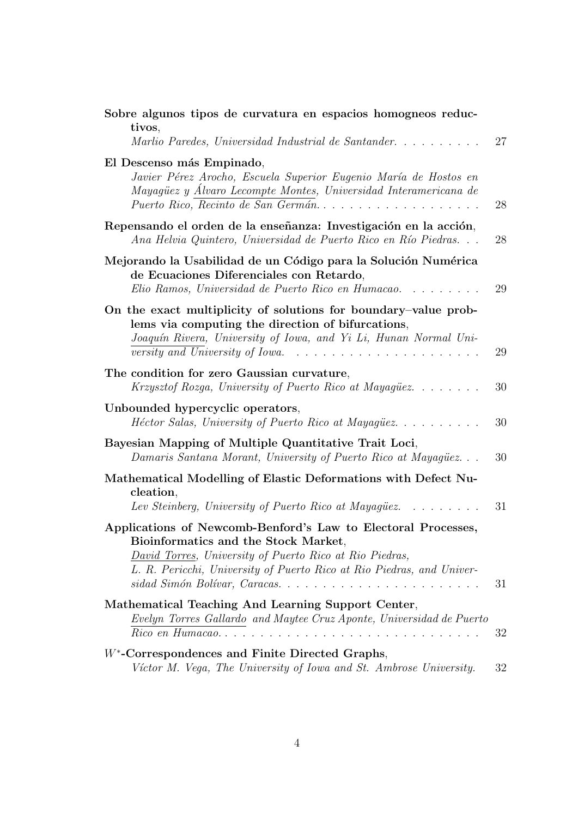| Sobre algunos tipos de curvatura en espacios homogneos reduc-<br>tivos,                                                                                                                                                                                                        |    |
|--------------------------------------------------------------------------------------------------------------------------------------------------------------------------------------------------------------------------------------------------------------------------------|----|
| Marlio Paredes, Universidad Industrial de Santander                                                                                                                                                                                                                            | 27 |
| El Descenso más Empinado,<br>Javier Pérez Arocho, Escuela Superior Eugenio María de Hostos en<br>Mayagüez y Álvaro Lecompte Montes, Universidad Interamericana de<br>Puerto Rico, Recinto de San Germán                                                                        | 28 |
| Repensando el orden de la enseñanza: Investigación en la acción,<br>Ana Helvia Quintero, Universidad de Puerto Rico en Río Piedras                                                                                                                                             | 28 |
| Mejorando la Usabilidad de un Código para la Solución Numérica<br>de Ecuaciones Diferenciales con Retardo,<br>Elio Ramos, Universidad de Puerto Rico en Humacao                                                                                                                | 29 |
| On the exact multiplicity of solutions for boundary-value prob-<br>lems via computing the direction of bifurcations,<br>Joaquín Rivera, University of Iowa, and Yi Li, Hunan Normal Uni-<br>versity and University of Iowa. $\ldots \ldots \ldots \ldots \ldots \ldots \ldots$ | 29 |
| The condition for zero Gaussian curvature,<br>Krzysztof Rozga, University of Puerto Rico at Mayagüez                                                                                                                                                                           | 30 |
| Unbounded hypercyclic operators,<br><i>Héctor Salas, University of Puerto Rico at Mayagüez</i>                                                                                                                                                                                 | 30 |
| Bayesian Mapping of Multiple Quantitative Trait Loci,<br>Damaris Santana Morant, University of Puerto Rico at Mayagüez                                                                                                                                                         | 30 |
| Mathematical Modelling of Elastic Deformations with Defect Nu-<br>cleation,                                                                                                                                                                                                    |    |
| Lev Steinberg, University of Puerto Rico at Mayagüez. $\ldots \ldots$                                                                                                                                                                                                          | 31 |
|                                                                                                                                                                                                                                                                                |    |
| Applications of Newcomb-Benford's Law to Electoral Processes,<br>Bioinformatics and the Stock Market,<br>David Torres, University of Puerto Rico at Rio Piedras,<br>L. R. Pericchi, University of Puerto Rico at Rio Piedras, and Univer-                                      |    |
| sidad Simón Bolívar, Caracas                                                                                                                                                                                                                                                   | 31 |
| Mathematical Teaching And Learning Support Center,<br>Evelyn Torres Gallardo and Maytee Cruz Aponte, Universidad de Puerto                                                                                                                                                     |    |
|                                                                                                                                                                                                                                                                                | 32 |
| $W^*$ -Correspondences and Finite Directed Graphs,<br>Víctor M. Vega, The University of Iowa and St. Ambrose University.                                                                                                                                                       | 32 |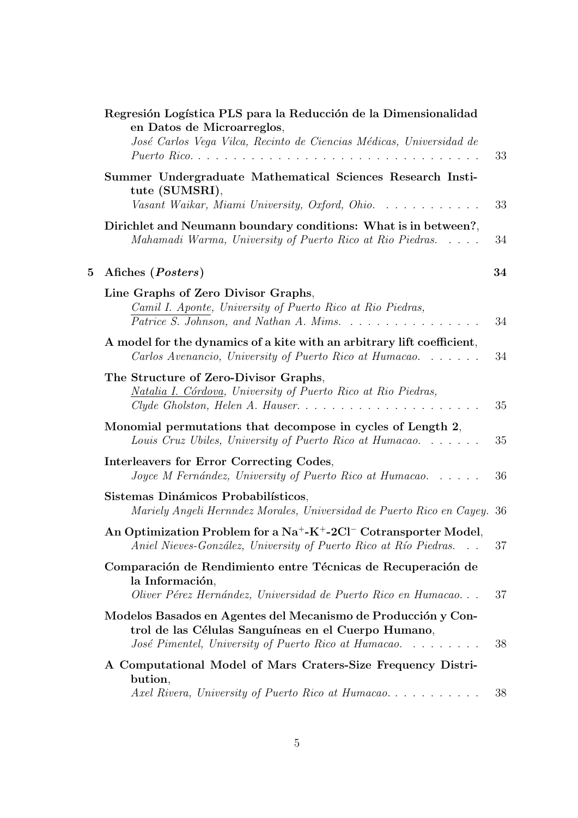|             | Regresión Logística PLS para la Reducción de la Dimensionalidad<br>en Datos de Microarreglos,<br>José Carlos Vega Vilca, Recinto de Ciencias Médicas, Universidad de         | 33 |
|-------------|------------------------------------------------------------------------------------------------------------------------------------------------------------------------------|----|
|             | Summer Undergraduate Mathematical Sciences Research Insti-<br>tute (SUMSRI),<br>Vasant Waikar, Miami University, Oxford, Ohio.                                               | 33 |
|             | Dirichlet and Neumann boundary conditions: What is in between?,<br>Mahamadi Warma, University of Puerto Rico at Rio Piedras                                                  | 34 |
| $5^{\circ}$ | Afiches (Posters)                                                                                                                                                            | 34 |
|             | Line Graphs of Zero Divisor Graphs,<br>Camil I. Aponte, University of Puerto Rico at Rio Piedras,<br>Patrice S. Johnson, and Nathan A. Mims.                                 | 34 |
|             | A model for the dynamics of a kite with an arbitrary lift coefficient,<br>Carlos Avenancio, University of Puerto Rico at Humacao                                             | 34 |
|             | The Structure of Zero-Divisor Graphs,<br>Natalia I. Córdova, University of Puerto Rico at Rio Piedras,                                                                       | 35 |
|             | Monomial permutations that decompose in cycles of Length 2,<br>Louis Cruz Ubiles, University of Puerto Rico at Humacao                                                       | 35 |
|             | Interleavers for Error Correcting Codes,<br>Joyce M Fernández, University of Puerto Rico at Humacao                                                                          | 36 |
|             | Sistemas Dinámicos Probabilísticos,<br>Mariely Angeli Hernndez Morales, Universidad de Puerto Rico en Cayey. 36                                                              |    |
|             | An Optimization Problem for a $Na^+ - K^+ - 2Cl^-$ Cotransporter Model,<br>Aniel Nieves-González, University of Puerto Rico at Río Piedras                                   | 37 |
|             | Comparación de Rendimiento entre Técnicas de Recuperación de<br>la Información,<br>Oliver Pérez Hernández, Universidad de Puerto Rico en Humacao                             | 37 |
|             | Modelos Basados en Agentes del Mecanismo de Producción y Con-<br>trol de las Células Sanguíneas en el Cuerpo Humano,<br>José Pimentel, University of Puerto Rico at Humacao. | 38 |
|             | A Computational Model of Mars Craters-Size Frequency Distri-<br>bution,<br>Axel Rivera, University of Puerto Rico at Humacao                                                 | 38 |
|             |                                                                                                                                                                              |    |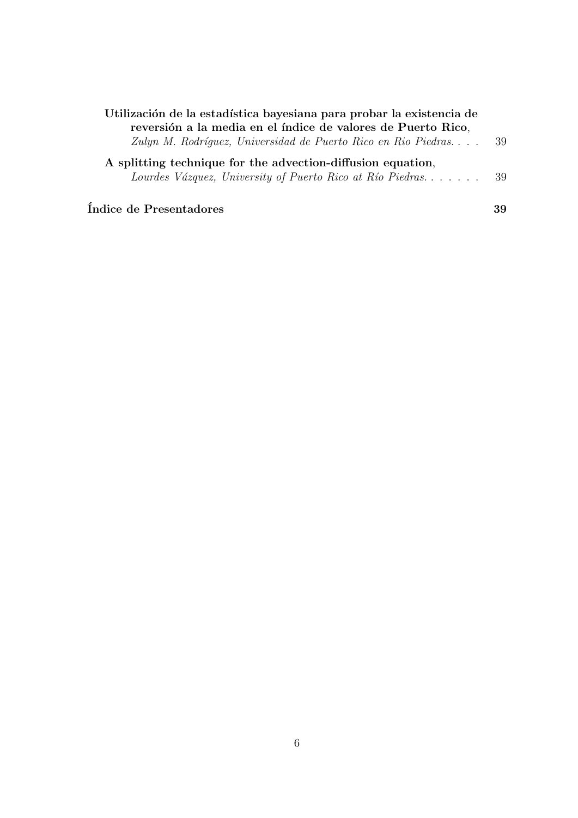| Utilización de la estadística bayesiana para probar la existencia de |      |  |  |
|----------------------------------------------------------------------|------|--|--|
| reversión a la media en el índice de valores de Puerto Rico,         |      |  |  |
| Zulyn M. Rodríguez, Universidad de Puerto Rico en Rio Piedras        | -39  |  |  |
| A splitting technique for the advection-diffusion equation,          |      |  |  |
| Lourdes Vázquez, University of Puerto Rico at Río Piedras            | - 39 |  |  |
|                                                                      |      |  |  |

 $1$ ndice de Presentadores 39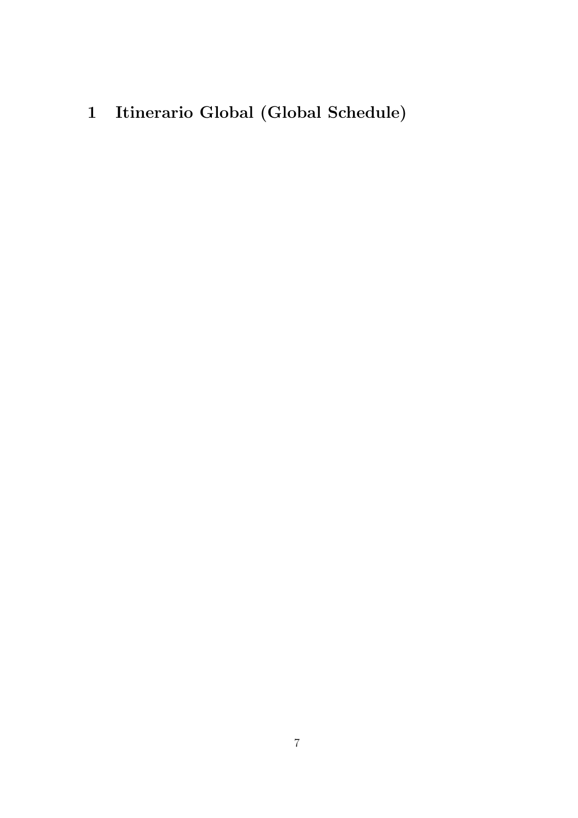1 Itinerario Global (Global Schedule)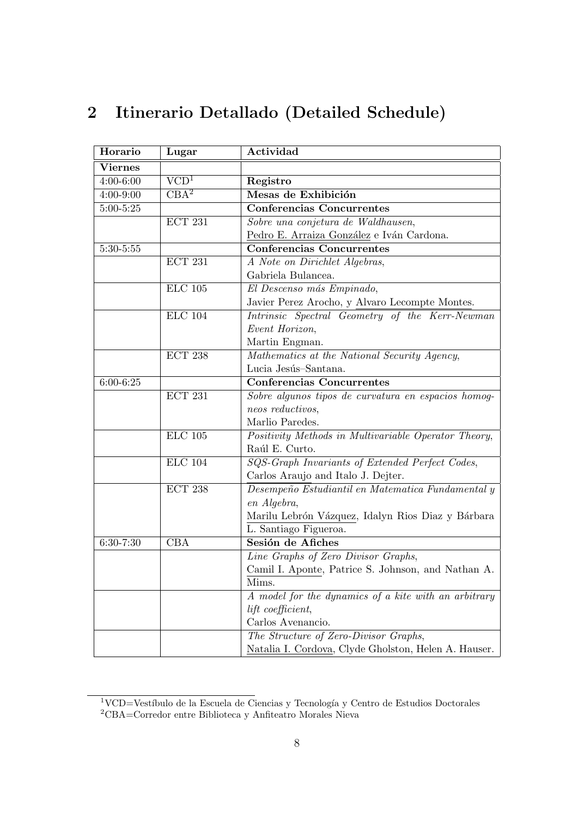| Horario        | Lugar                     | Actividad                                            |
|----------------|---------------------------|------------------------------------------------------|
| <b>Viernes</b> |                           |                                                      |
| $4:00 - 6:00$  | $\overline{\text{VCD}^1}$ | Registro                                             |
| $4:00 - 9:00$  | $\overline{\text{CBA}^2}$ | Mesas de Exhibición                                  |
| $5:00 - 5:25$  |                           | <b>Conferencias Concurrentes</b>                     |
|                | <b>ECT 231</b>            | Sobre una conjetura de Waldhausen,                   |
|                |                           | Pedro E. Arraiza González e Iván Cardona.            |
| $5:30 - 5:55$  |                           | <b>Conferencias Concurrentes</b>                     |
|                | ECT 231                   | A Note on Dirichlet Algebras,                        |
|                |                           | Gabriela Bulancea.                                   |
|                | $\rm ELC$ 105             | El Descenso más Empinado,                            |
|                |                           | Javier Perez Arocho, y Alvaro Lecompte Montes.       |
|                | <b>ELC</b> 104            | Intrinsic Spectral Geometry of the Kerr-Newman       |
|                |                           | Event Horizon,                                       |
|                |                           | Martin Engman.                                       |
|                | <b>ECT 238</b>            | Mathematics at the National Security Agency,         |
|                |                           | Lucia Jesús-Santana.                                 |
| $6:00 - 6:25$  |                           | <b>Conferencias Concurrentes</b>                     |
|                | ECT 231                   | Sobre algunos tipos de curvatura en espacios homog-  |
|                |                           | neos reductivos,                                     |
|                |                           | Marlio Paredes.                                      |
|                | $\rm ELC$ 105             | Positivity Methods in Multivariable Operator Theory, |
|                |                           | Raúl E. Curto.                                       |
|                | <b>ELC</b> 104            | SQS-Graph Invariants of Extended Perfect Codes,      |
|                |                           | Carlos Araujo and Italo J. Dejter.                   |
|                | <b>ECT 238</b>            | Desempeño Estudiantil en Matematica Fundamental y    |
|                |                           | en Algebra,                                          |
|                |                           | Marilu Lebrón Vázquez, Idalyn Rios Diaz y Bárbara    |
|                |                           | L. Santiago Figueroa.                                |
| $6:30-7:30$    | <b>CBA</b>                | Sesión de Afiches                                    |
|                |                           | Line Graphs of Zero Divisor Graphs,                  |
|                |                           | Camil I. Aponte, Patrice S. Johnson, and Nathan A.   |
|                |                           | Mims.                                                |
|                |                           | A model for the dynamics of a kite with an arbitrary |
|                |                           | lift coefficient,                                    |
|                |                           | Carlos Avenancio.                                    |
|                |                           | The Structure of Zero-Divisor Graphs,                |
|                |                           | Natalia I. Cordova, Clyde Gholston, Helen A. Hauser. |

# 2 Itinerario Detallado (Detailed Schedule)

 $\frac{1}{2}$ VCD=Vestíbulo de la Escuela de Ciencias y Tecnología y Centro de Estudios Doctorales <sup>2</sup>CBA=Corredor entre Biblioteca y Anfiteatro Morales Nieva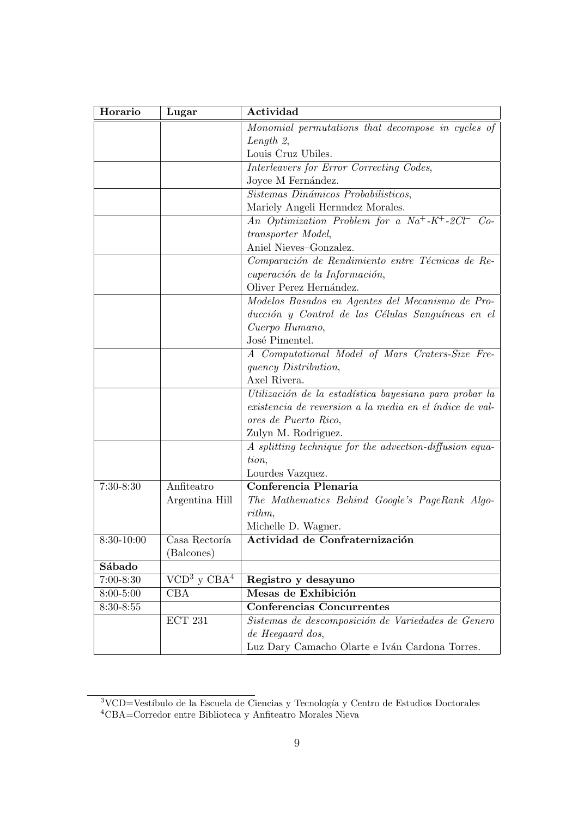| Horario       | Lugar                     | Actividad                                                                           |
|---------------|---------------------------|-------------------------------------------------------------------------------------|
|               |                           | Monomial permutations that decompose in cycles of                                   |
|               |                           | Length $2$ ,                                                                        |
|               |                           | Louis Cruz Ubiles.                                                                  |
|               |                           | Interleavers for Error Correcting Codes,                                            |
|               |                           | Joyce M Fernández.                                                                  |
|               |                           | Sistemas Dinámicos Probabilisticos,                                                 |
|               |                           | Mariely Angeli Hernndez Morales.                                                    |
|               |                           | An Optimization Problem for a Na <sup>+</sup> -K <sup>+</sup> -2Cl <sup>-</sup> Co- |
|               |                           | transporter Model,                                                                  |
|               |                           | Aniel Nieves-Gonzalez.                                                              |
|               |                           | Comparación de Rendimiento entre Técnicas de Re-                                    |
|               |                           | cuperación de la Información,                                                       |
|               |                           | Oliver Perez Hernández.                                                             |
|               |                           | Modelos Basados en Agentes del Mecanismo de Pro-                                    |
|               |                           | ducción y Control de las Células Sanguíneas en el                                   |
|               |                           | Cuerpo Humano,                                                                      |
|               |                           | José Pimentel.                                                                      |
|               |                           | A Computational Model of Mars Craters-Size Fre-                                     |
|               |                           | <i>quency Distribution,</i>                                                         |
|               |                           | Axel Rivera.                                                                        |
|               |                           | Utilización de la estadística bayesiana para probar la                              |
|               |                           | existencia de reversion a la media en el índice de val-                             |
|               |                           | ores de Puerto Rico,                                                                |
|               |                           | Zulyn M. Rodriguez.                                                                 |
|               |                           | A splitting technique for the advection-diffusion equa-                             |
|               |                           | tion,                                                                               |
|               |                           | Lourdes Vazquez.                                                                    |
| $7:30-8:30$   | Anfiteatro                | Conferencia Plenaria                                                                |
|               | Argentina Hill            | The Mathematics Behind Google's PageRank Algo-                                      |
|               |                           | rithm,                                                                              |
|               |                           | Michelle D. Wagner.                                                                 |
| 8:30-10:00    | Casa Rectoría             | Actividad de Confraternización                                                      |
|               | (Balcones)                |                                                                                     |
| Sábado        |                           |                                                                                     |
| $7:00 - 8:30$ | $VCD3$ y CBA <sup>4</sup> | Registro y desayuno                                                                 |
| $8:00 - 5:00$ | CBA                       | Mesas de Exhibición                                                                 |
| $8:30 - 8:55$ |                           | <b>Conferencias Concurrentes</b>                                                    |
|               | $\operatorname{ECT}$ 231  | Sistemas de descomposición de Variedades de Genero                                  |
|               |                           | de Heegaard dos,                                                                    |
|               |                           | Luz Dary Camacho Olarte e Iván Cardona Torres.                                      |

<sup>&</sup>lt;sup>3</sup>VCD=Vestíbulo de la Escuela de Ciencias y Tecnología y Centro de Estudios Doctorales <sup>4</sup>CBA=Corredor entre Biblioteca y Anfiteatro Morales Nieva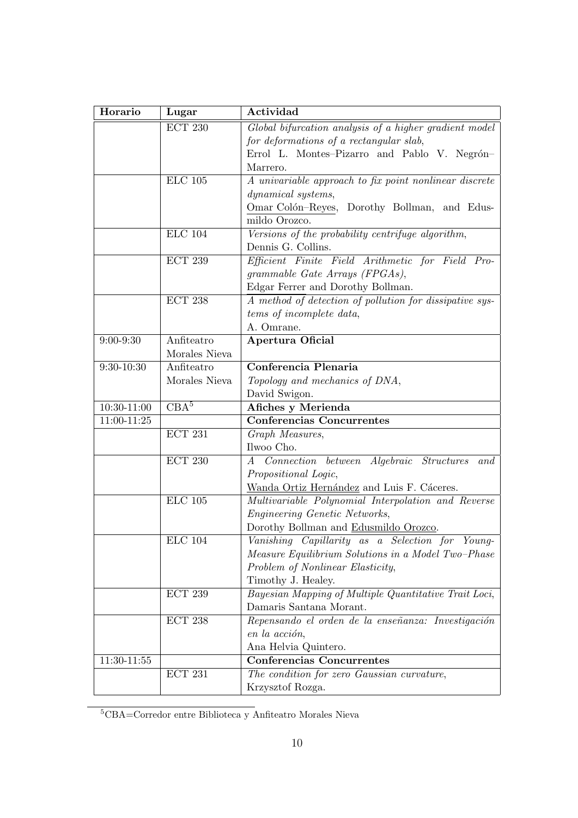| Horario        | Lugar            | Actividad                                               |
|----------------|------------------|---------------------------------------------------------|
|                | <b>ECT 230</b>   | Global bifurcation analysis of a higher gradient model  |
|                |                  | for deformations of a rectangular slab,                 |
|                |                  | Errol L. Montes-Pizarro and Pablo V. Negrón-            |
|                |                  | Marrero.                                                |
|                | $\rm ELC$ 105    | A univariable approach to fix point nonlinear discrete  |
|                |                  | dynamical systems,                                      |
|                |                  | Omar Colón-Reyes, Dorothy Bollman, and Edus-            |
|                |                  | mildo Orozco.                                           |
|                | <b>ELC 104</b>   | Versions of the probability centrifuge algorithm,       |
|                |                  | Dennis G. Collins.                                      |
|                | <b>ECT 239</b>   | Efficient Finite Field Arithmetic for Field Pro-        |
|                |                  | grammable Gate Arrays (FPGAs),                          |
|                |                  | Edgar Ferrer and Dorothy Bollman.                       |
|                | <b>ECT 238</b>   | A method of detection of pollution for dissipative sys- |
|                |                  | tems of incomplete data,                                |
|                |                  | A. Omrane.                                              |
| $9:00 - 9:30$  | Anfiteatro       | <b>Apertura Oficial</b>                                 |
|                | Morales Nieva    |                                                         |
| $9:30 - 10:30$ | Anfiteatro       | Conferencia Plenaria                                    |
|                | Morales Nieva    | Topology and mechanics of DNA,                          |
|                |                  | David Swigon.                                           |
| $10:30-11:00$  | CBA <sup>5</sup> | Afiches y Merienda                                      |
| 11:00-11:25    |                  | <b>Conferencias Concurrentes</b>                        |
|                | ECT 231          | Graph Measures,                                         |
|                |                  | Ilwoo Cho.                                              |
|                | <b>ECT 230</b>   | Connection between Algebraic Structures<br>and<br>A     |
|                |                  | Propositional Logic,                                    |
|                |                  | Wanda Ortiz Hernández and Luis F. Cáceres.              |
|                | $\rm ELC$ 105    | Multivariable Polynomial Interpolation and Reverse      |
|                |                  | Engineering Genetic Networks,                           |
|                |                  | Dorothy Bollman and Edusmildo Orozco.                   |
|                | <b>ELC</b> 104   | Vanishing Capillarity as a Selection for Young-         |
|                |                  | Measure Equilibrium Solutions in a Model Two-Phase      |
|                |                  | Problem of Nonlinear Elasticity,                        |
|                |                  | Timothy J. Healey.                                      |
|                | <b>ECT 239</b>   | Bayesian Mapping of Multiple Quantitative Trait Loci,   |
|                |                  | Damaris Santana Morant.                                 |
|                | <b>ECT 238</b>   | Repensando el orden de la enseñanza: Investigación      |
|                |                  | en la acción,                                           |
|                |                  | Ana Helvia Quintero.                                    |
| 11:30-11:55    |                  | <b>Conferencias Concurrentes</b>                        |
|                | ECT 231          | The condition for zero Gaussian curvature,              |
|                |                  | Krzysztof Rozga.                                        |

 ${\rm ^5CBA{=}Corrector}$ entre Biblioteca y Anfiteatro Morales Nieva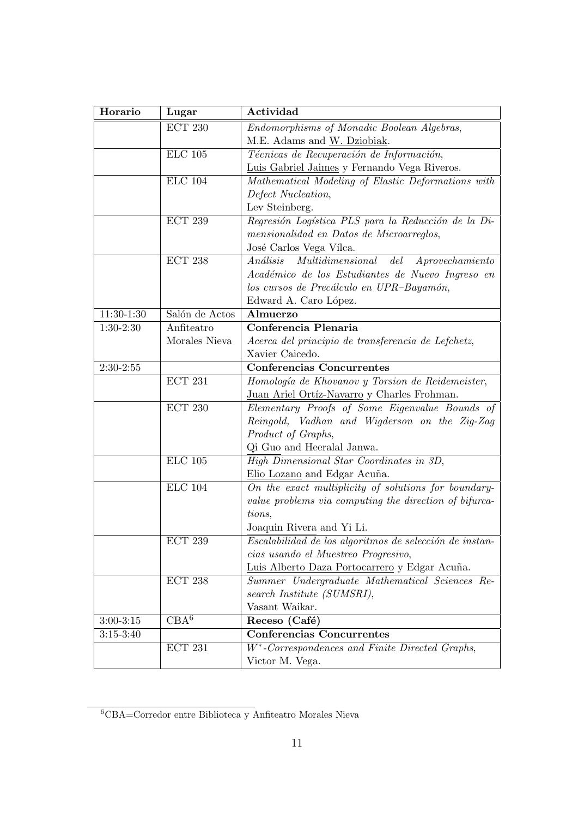| Horario       | Lugar            | Actividad                                                           |
|---------------|------------------|---------------------------------------------------------------------|
|               | <b>ECT 230</b>   | Endomorphisms of Monadic Boolean Algebras,                          |
|               |                  | M.E. Adams and W. Dziobiak.                                         |
|               | <b>ELC</b> 105   | Técnicas de Recuperación de Información,                            |
|               |                  | Luis Gabriel Jaimes y Fernando Vega Riveros.                        |
|               | <b>ELC</b> 104   | Mathematical Modeling of Elastic Deformations with                  |
|               |                  | Defect Nucleation,                                                  |
|               |                  | Lev Steinberg.                                                      |
|               | <b>ECT 239</b>   | Regresión Logística PLS para la Reducción de la Di-                 |
|               |                  | mensionalidad en Datos de Microarreglos,                            |
|               |                  | José Carlos Vega Vílca.                                             |
|               | <b>ECT 238</b>   | Análisis<br>Multidimensional del Aprovechamiento                    |
|               |                  | Académico de los Estudiantes de Nuevo Ingreso en                    |
|               |                  | los cursos de Precálculo en UPR-Bayamón,                            |
|               |                  | Edward A. Caro López.                                               |
| $11:30-1:30$  | Salón de Actos   | Almuerzo                                                            |
| $1:30-2:30$   | Anfiteatro       | Conferencia Plenaria                                                |
|               | Morales Nieva    | Acerca del principio de transferencia de Lefchetz,                  |
|               |                  | Xavier Caicedo.                                                     |
| $2:30-2:55$   |                  | <b>Conferencias Concurrentes</b>                                    |
|               | <b>ECT 231</b>   | Homología de Khovanov y Torsion de Reidemeister,                    |
|               |                  | Juan Ariel Ortíz-Navarro y Charles Frohman.                         |
|               | <b>ECT 230</b>   | Elementary Proofs of Some Eigenvalue Bounds of                      |
|               |                  | Reingold, Vadhan and Wigderson on the Zig-Zag                       |
|               |                  | Product of Graphs,                                                  |
|               |                  | Qi Guo and Heeralal Janwa.                                          |
|               | $ELC$ 105        | High Dimensional Star Coordinates in 3D,                            |
|               |                  | Elio Lozano and Edgar Acuña.                                        |
|               | <b>ELC</b> 104   | On the exact multiplicity of solutions for boundary-                |
|               |                  | value problems via computing the direction of bifurca-              |
|               |                  | tions,                                                              |
|               |                  | Joaquin Rivera and Yi Li.                                           |
|               | <b>ECT 239</b>   | $\overline{Escalabilidad de los$ algoritmos de selección de instan- |
|               |                  | cias usando el Muestreo Progresivo,                                 |
|               |                  | Luis Alberto Daza Portocarrero y Edgar Acuña.                       |
|               | <b>ECT 238</b>   | Summer Undergraduate Mathematical Sciences Re-                      |
|               |                  | search Institute (SUMSRI),                                          |
|               |                  | Vasant Waikar.                                                      |
| $3:00 - 3:15$ | CBA <sup>6</sup> | Receso (Café)                                                       |
| $3:15-3:40$   |                  | <b>Conferencias Concurrentes</b>                                    |
|               | <b>ECT 231</b>   | $W^*$ -Correspondences and Finite Directed Graphs,                  |
|               |                  | Victor M. Vega.                                                     |

 $\overline{{}^6\text{CBA}}=$ Corredor entre Biblioteca y Anfiteatro Morales Nieva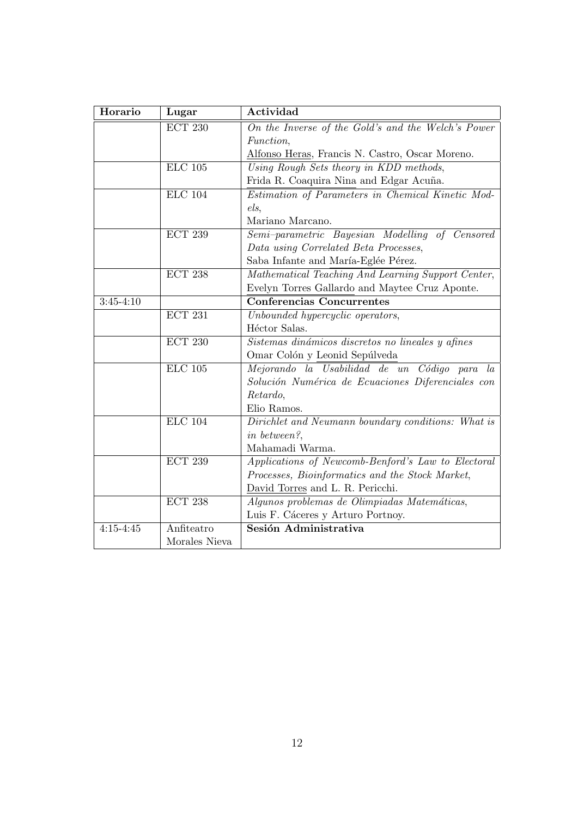| Horario       | Lugar                 | Actividad                                          |
|---------------|-----------------------|----------------------------------------------------|
|               | <b>ECT 230</b>        | On the Inverse of the Gold's and the Welch's Power |
|               |                       | <i>Function,</i>                                   |
|               |                       | Alfonso Heras, Francis N. Castro, Oscar Moreno.    |
|               | $ELC$ 105             | Using Rough Sets theory in KDD methods,            |
|               |                       | Frida R. Coaquira Nina and Edgar Acuña.            |
|               | <b>ELC 104</b>        | Estimation of Parameters in Chemical Kinetic Mod-  |
|               |                       | els,                                               |
|               |                       | Mariano Marcano.                                   |
|               | <b>ECT 239</b>        | Semi-parametric Bayesian Modelling of Censored     |
|               |                       | Data using Correlated Beta Processes,              |
|               |                       | Saba Infante and María-Eglée Pérez.                |
|               | <b>ECT 238</b>        | Mathematical Teaching And Learning Support Center, |
|               |                       | Evelyn Torres Gallardo and Maytee Cruz Aponte.     |
| $3:45 - 4:10$ |                       | <b>Conferencias Concurrentes</b>                   |
|               | $\overline{ECT~ 231}$ | Unbounded hypercyclic operators,                   |
|               |                       | Héctor Salas.                                      |
|               | <b>ECT 230</b>        | Sistemas dinámicos discretos no lineales y afines  |
|               |                       | Omar Colón y Leonid Sepúlveda                      |
|               | $ELC$ 105             | Mejorando la Usabilidad de un Código para la       |
|               |                       | Solución Numérica de Ecuaciones Diferenciales con  |
|               |                       | Retardo,                                           |
|               |                       | Elio Ramos.                                        |
|               | $ELC$ 104             | Dirichlet and Neumann boundary conditions: What is |
|               |                       | in between?,                                       |
|               |                       | Mahamadi Warma.                                    |
|               | <b>ECT 239</b>        | Applications of Newcomb-Benford's Law to Electoral |
|               |                       | Processes, Bioinformatics and the Stock Market,    |
|               |                       | David Torres and L. R. Pericchi.                   |
|               | <b>ECT 238</b>        | Algunos problemas de Olimpiadas Matemáticas,       |
|               |                       | Luis F. Cáceres y Arturo Portnoy.                  |
| $4:15 - 4:45$ | Anfiteatro            | Sesión Administrativa                              |
|               | Morales Nieva         |                                                    |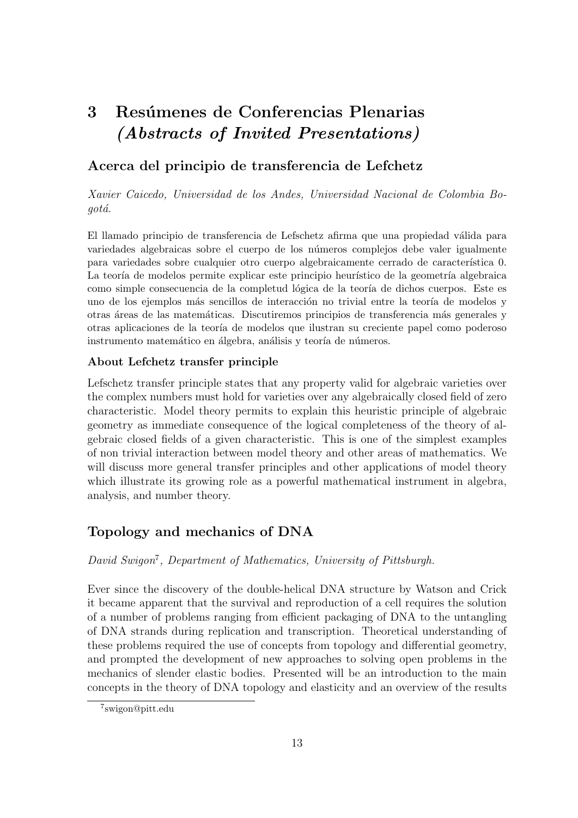# 3 Resúmenes de Conferencias Plenarias (Abstracts of Invited Presentations)

# Acerca del principio de transferencia de Lefchetz

Xavier Caicedo, Universidad de los Andes, Universidad Nacional de Colombia Bogotá.

El llamado principio de transferencia de Lefschetz afirma que una propiedad válida para variedades algebraicas sobre el cuerpo de los n´umeros complejos debe valer igualmente para variedades sobre cualquier otro cuerpo algebraicamente cerrado de característica 0. La teoría de modelos permite explicar este principio heurístico de la geometría algebraica como simple consecuencia de la completud lógica de la teoría de dichos cuerpos. Este es uno de los ejemplos más sencillos de interacción no trivial entre la teoría de modelos y otras áreas de las matemáticas. Discutiremos principios de transferencia más generales y otras aplicaciones de la teoría de modelos que ilustran su creciente papel como poderoso instrumento matemático en álgebra, análisis y teoría de números.

#### About Lefchetz transfer principle

Lefschetz transfer principle states that any property valid for algebraic varieties over the complex numbers must hold for varieties over any algebraically closed field of zero characteristic. Model theory permits to explain this heuristic principle of algebraic geometry as immediate consequence of the logical completeness of the theory of algebraic closed fields of a given characteristic. This is one of the simplest examples of non trivial interaction between model theory and other areas of mathematics. We will discuss more general transfer principles and other applications of model theory which illustrate its growing role as a powerful mathematical instrument in algebra, analysis, and number theory.

# Topology and mechanics of DNA

#### David Swigon<sup>7</sup>, Department of Mathematics, University of Pittsburgh.

Ever since the discovery of the double-helical DNA structure by Watson and Crick it became apparent that the survival and reproduction of a cell requires the solution of a number of problems ranging from efficient packaging of DNA to the untangling of DNA strands during replication and transcription. Theoretical understanding of these problems required the use of concepts from topology and differential geometry, and prompted the development of new approaches to solving open problems in the mechanics of slender elastic bodies. Presented will be an introduction to the main concepts in the theory of DNA topology and elasticity and an overview of the results

<sup>7</sup> swigon@pitt.edu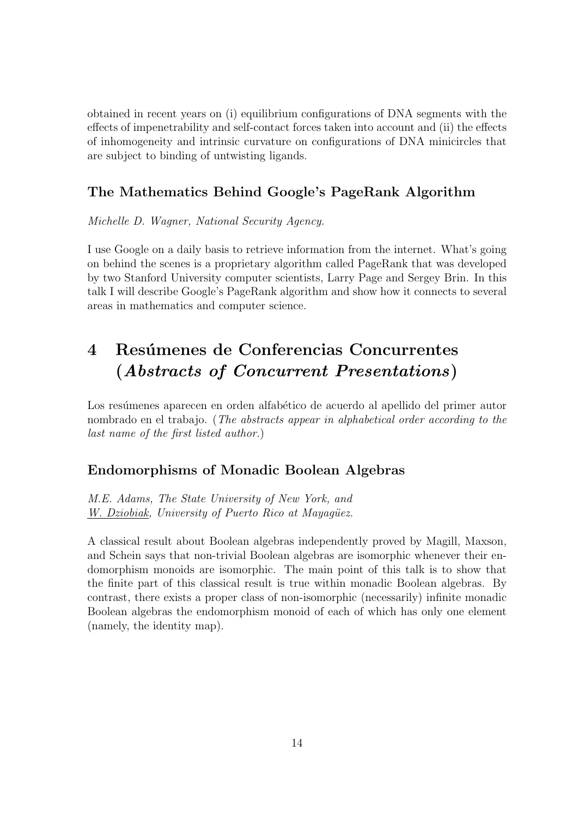obtained in recent years on (i) equilibrium configurations of DNA segments with the effects of impenetrability and self-contact forces taken into account and (ii) the effects of inhomogeneity and intrinsic curvature on configurations of DNA minicircles that are subject to binding of untwisting ligands.

# The Mathematics Behind Google's PageRank Algorithm

Michelle D. Wagner, National Security Agency.

I use Google on a daily basis to retrieve information from the internet. What's going on behind the scenes is a proprietary algorithm called PageRank that was developed by two Stanford University computer scientists, Larry Page and Sergey Brin. In this talk I will describe Google's PageRank algorithm and show how it connects to several areas in mathematics and computer science.

# 4 Resúmenes de Conferencias Concurrentes (Abstracts of Concurrent Presentations)

Los resúmenes aparecen en orden alfabético de acuerdo al apellido del primer autor nombrado en el trabajo. (The abstracts appear in alphabetical order according to the last name of the first listed author.)

# Endomorphisms of Monadic Boolean Algebras

M.E. Adams, The State University of New York, and W. Dziobiak, University of Puerto Rico at Mayagüez.

A classical result about Boolean algebras independently proved by Magill, Maxson, and Schein says that non-trivial Boolean algebras are isomorphic whenever their endomorphism monoids are isomorphic. The main point of this talk is to show that the finite part of this classical result is true within monadic Boolean algebras. By contrast, there exists a proper class of non-isomorphic (necessarily) infinite monadic Boolean algebras the endomorphism monoid of each of which has only one element (namely, the identity map).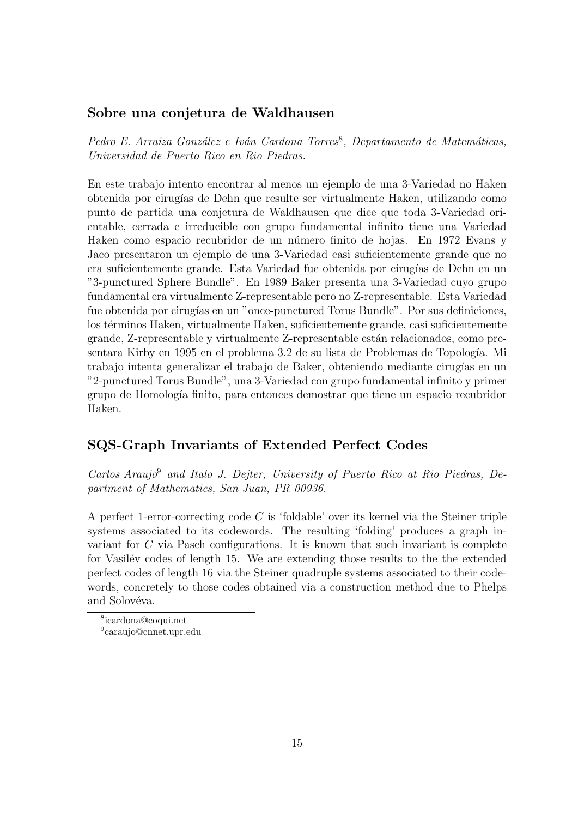#### Sobre una conjetura de Waldhausen

Pedro E. Arraiza González e Iván Cardona Torres<sup>8</sup>, Departamento de Matemáticas, Universidad de Puerto Rico en Rio Piedras.

En este trabajo intento encontrar al menos un ejemplo de una 3-Variedad no Haken obtenida por cirug´ıas de Dehn que resulte ser virtualmente Haken, utilizando como punto de partida una conjetura de Waldhausen que dice que toda 3-Variedad orientable, cerrada e irreducible con grupo fundamental infinito tiene una Variedad Haken como espacio recubridor de un número finito de hojas. En 1972 Evans y Jaco presentaron un ejemplo de una 3-Variedad casi suficientemente grande que no era suficientemente grande. Esta Variedad fue obtenida por cirugías de Dehn en un "3-punctured Sphere Bundle". En 1989 Baker presenta una 3-Variedad cuyo grupo fundamental era virtualmente Z-representable pero no Z-representable. Esta Variedad fue obtenida por cirugías en un "once-punctured Torus Bundle". Por sus definiciones, los términos Haken, virtualmente Haken, suficientemente grande, casi suficientemente grande, Z-representable y virtualmente Z-representable están relacionados, como presentara Kirby en 1995 en el problema 3.2 de su lista de Problemas de Topología. Mi trabajo intenta generalizar el trabajo de Baker, obteniendo mediante cirugías en un "2-punctured Torus Bundle", una 3-Variedad con grupo fundamental infinito y primer grupo de Homología finito, para entonces demostrar que tiene un espacio recubridor Haken.

#### SQS-Graph Invariants of Extended Perfect Codes

Carlos Araujo<sup>9</sup> and Italo J. Dejter, University of Puerto Rico at Rio Piedras, Department of Mathematics, San Juan, PR 00936.

A perfect 1-error-correcting code C is 'foldable' over its kernel via the Steiner triple systems associated to its codewords. The resulting 'folding' produces a graph invariant for C via Pasch configurations. It is known that such invariant is complete for Vasilév codes of length 15. We are extending those results to the the extended perfect codes of length 16 via the Steiner quadruple systems associated to their codewords, concretely to those codes obtained via a construction method due to Phelps and Solovéva.

<sup>8</sup> icardona@coqui.net

<sup>9</sup> caraujo@cnnet.upr.edu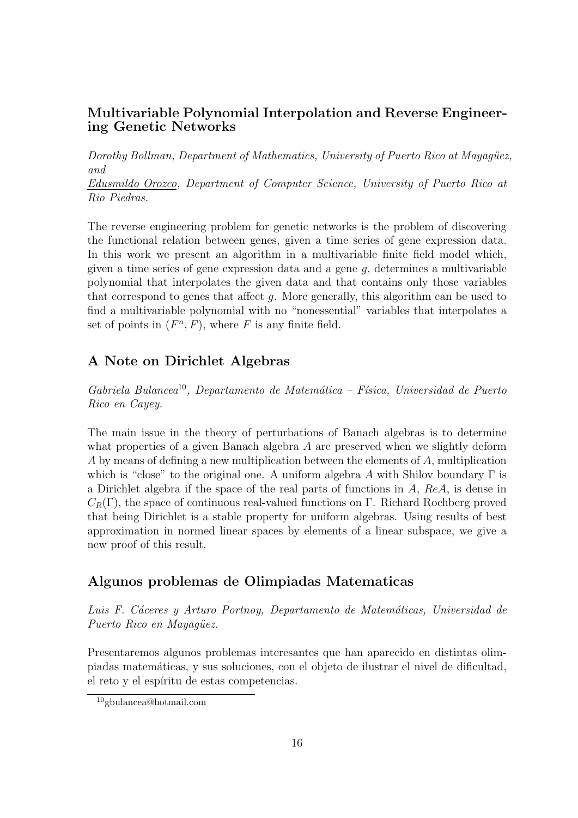#### Multivariable Polynomial Interpolation and Reverse Engineering Genetic Networks

Dorothy Bollman, Department of Mathematics, University of Puerto Rico at Mayagüez, and

Edusmildo Orozco, Department of Computer Science, University of Puerto Rico at Rio Piedras.

The reverse engineering problem for genetic networks is the problem of discovering the functional relation between genes, given a time series of gene expression data. In this work we present an algorithm in a multivariable finite field model which, given a time series of gene expression data and a gene  $q$ , determines a multivariable polynomial that interpolates the given data and that contains only those variables that correspond to genes that affect g. More generally, this algorithm can be used to find a multivariable polynomial with no "nonessential" variables that interpolates a set of points in  $(F<sup>n</sup>, F)$ , where F is any finite field.

# A Note on Dirichlet Algebras

 $Gabriela Bulancea<sup>10</sup>, Departmento de Matemática - Física, Universidad de Puerto$ Rico en Cayey.

The main issue in the theory of perturbations of Banach algebras is to determine what properties of a given Banach algebra A are preserved when we slightly deform A by means of defining a new multiplication between the elements of A, multiplication which is "close" to the original one. A uniform algebra A with Shilov boundary  $\Gamma$  is a Dirichlet algebra if the space of the real parts of functions in A, ReA, is dense in  $C_R(\Gamma)$ , the space of continuous real-valued functions on Γ. Richard Rochberg proved that being Dirichlet is a stable property for uniform algebras. Using results of best approximation in normed linear spaces by elements of a linear subspace, we give a new proof of this result.

#### Algunos problemas de Olimpiadas Matematicas

Luis F. Cáceres y Arturo Portnoy, Departamento de Matemáticas, Universidad de Puerto Rico en Mayaqüez.

Presentaremos algunos problemas interesantes que han aparecido en distintas olimpiadas matem´aticas, y sus soluciones, con el objeto de ilustrar el nivel de dificultad, el reto y el espíritu de estas competencias.

<sup>10</sup>gbulancea@hotmail.com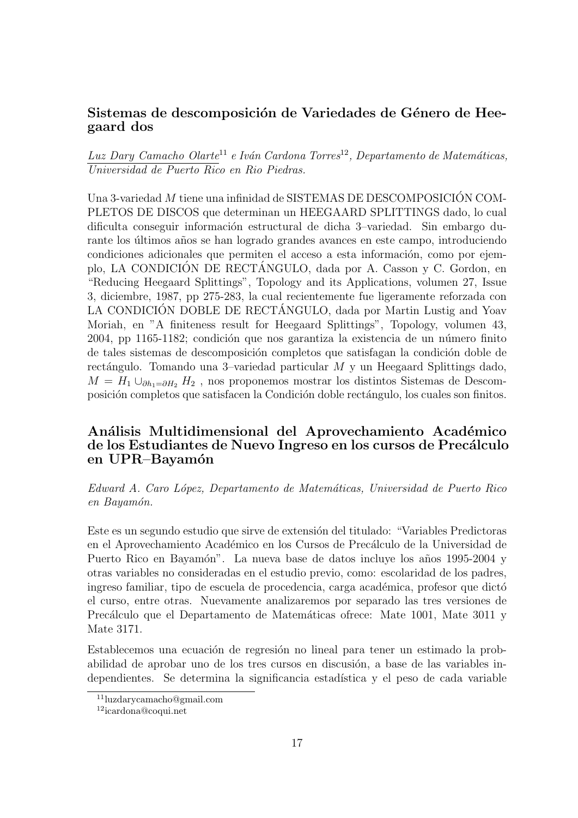#### Sistemas de descomposición de Variedades de Género de Heegaard dos

Luz Dary Camacho Olarte<sup>11</sup> e Iván Cardona Torres<sup>12</sup>, Departamento de Matemáticas, Universidad de Puerto Rico en Rio Piedras.

Una 3-variedad  $M$  tiene una infinidad de SISTEMAS DE DESCOMPOSICIÓN COM-PLETOS DE DISCOS que determinan un HEEGAARD SPLITTINGS dado, lo cual dificulta conseguir información estructural de dicha 3–variedad. Sin embargo durante los últimos años se han logrado grandes avances en este campo, introduciendo condiciones adicionales que permiten el acceso a esta información, como por ejemplo, LA CONDICIÓN DE RECTÁNGULO, dada por A. Casson y C. Gordon, en "Reducing Heegaard Splittings", Topology and its Applications, volumen 27, Issue 3, diciembre, 1987, pp 275-283, la cual recientemente fue ligeramente reforzada con LA CONDICIÓN DOBLE DE RECTÁNGULO, dada por Martin Lustig and Yoav Moriah, en "A finiteness result for Heegaard Splittings", Topology, volumen 43, 2004, pp 1165-1182; condición que nos garantiza la existencia de un número finito de tales sistemas de descomposición completos que satisfagan la condición doble de rectángulo. Tomando una 3–variedad particular  $M$  y un Heegaard Splittings dado,  $M = H_1 \cup_{\partial h_1 = \partial H_2} H_2$ , nos proponemos mostrar los distintos Sistemas de Descomposición completos que satisfacen la Condición doble rectángulo, los cuales son finitos.

# Análisis Multidimensional del Aprovechamiento Académico de los Estudiantes de Nuevo Ingreso en los cursos de Precálculo en UPR–Bayamón

Edward A. Caro L´opez, Departamento de Matem´aticas, Universidad de Puerto Rico en Bayamón.

Este es un segundo estudio que sirve de extensión del titulado: "Variables Predictoras" en el Aprovechamiento Académico en los Cursos de Precálculo de la Universidad de Puerto Rico en Bayamón". La nueva base de datos incluye los años 1995-2004 y otras variables no consideradas en el estudio previo, como: escolaridad de los padres, ingreso familiar, tipo de escuela de procedencia, carga académica, profesor que dictó el curso, entre otras. Nuevamente analizaremos por separado las tres versiones de Precálculo que el Departamento de Matemáticas ofrece: Mate 1001, Mate 3011 y Mate 3171.

Establecemos una ecuación de regresión no lineal para tener un estimado la probabilidad de aprobar uno de los tres cursos en discusión, a base de las variables independientes. Se determina la significancia estadística y el peso de cada variable

<sup>11</sup>luzdarycamacho@gmail.com

<sup>12</sup>icardona@coqui.net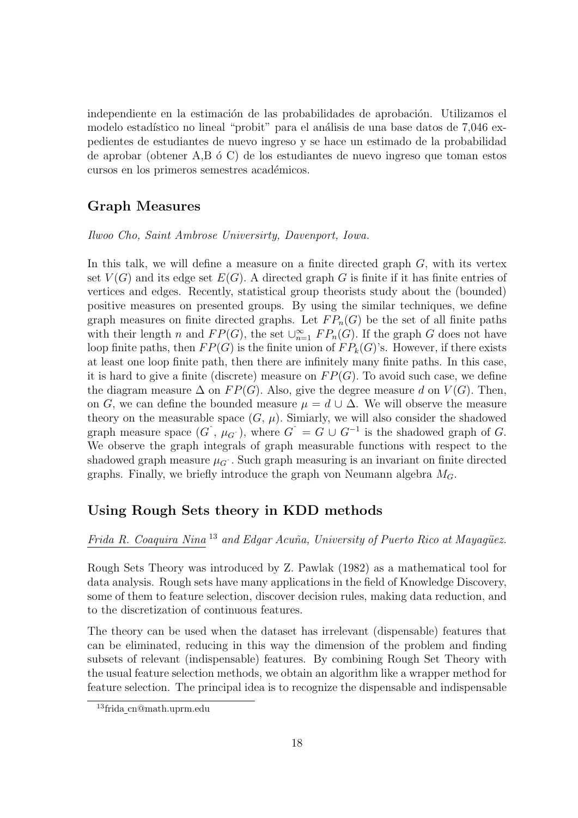independiente en la estimación de las probabilidades de aprobación. Utilizamos el modelo estadístico no lineal "probit" para el análisis de una base datos de 7,046 expedientes de estudiantes de nuevo ingreso y se hace un estimado de la probabilidad de aprobar (obtener  $A, B, \phi, C$ ) de los estudiantes de nuevo ingreso que toman estos cursos en los primeros semestres académicos.

#### Graph Measures

Ilwoo Cho, Saint Ambrose Universirty, Davenport, Iowa.

In this talk, we will define a measure on a finite directed graph  $G$ , with its vertex set  $V(G)$  and its edge set  $E(G)$ . A directed graph G is finite if it has finite entries of vertices and edges. Recently, statistical group theorists study about the (bounded) positive measures on presented groups. By using the similar techniques, we define graph measures on finite directed graphs. Let  $FP_n(G)$  be the set of all finite paths with their length n and  $FP(G)$ , the set  $\bigcup_{n=1}^{\infty} FP_n(G)$ . If the graph G does not have loop finite paths, then  $FP(G)$  is the finite union of  $FP_k(G)$ 's. However, if there exists at least one loop finite path, then there are infinitely many finite paths. In this case, it is hard to give a finite (discrete) measure on  $FP(G)$ . To avoid such case, we define the diagram measure  $\Delta$  on  $FP(G)$ . Also, give the degree measure d on  $V(G)$ . Then, on G, we can define the bounded measure  $\mu = d \cup \Delta$ . We will observe the measure theory on the measurable space  $(G, \mu)$ . Simiarly, we will also consider the shadowed graph measure space  $(G, \mu_G)$ , where  $G^{\hat{}} = G \cup G^{-1}$  is the shadowed graph of G. We observe the graph integrals of graph measurable functions with respect to the shadowed graph measure  $\mu_G$ . Such graph measuring is an invariant on finite directed graphs. Finally, we briefly introduce the graph von Neumann algebra  $M_G$ .

# Using Rough Sets theory in KDD methods

Frida R. Coaquira Nina  $^{13}$  and Edgar Acuña, University of Puerto Rico at Mayagüez.

Rough Sets Theory was introduced by Z. Pawlak (1982) as a mathematical tool for data analysis. Rough sets have many applications in the field of Knowledge Discovery, some of them to feature selection, discover decision rules, making data reduction, and to the discretization of continuous features.

The theory can be used when the dataset has irrelevant (dispensable) features that can be eliminated, reducing in this way the dimension of the problem and finding subsets of relevant (indispensable) features. By combining Rough Set Theory with the usual feature selection methods, we obtain an algorithm like a wrapper method for feature selection. The principal idea is to recognize the dispensable and indispensable

<sup>13</sup>frida cn@math.uprm.edu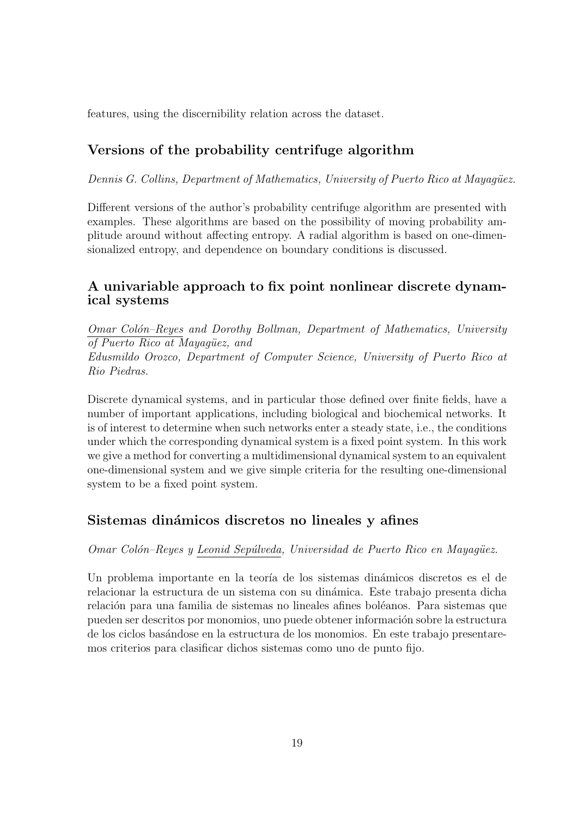features, using the discernibility relation across the dataset.

# Versions of the probability centrifuge algorithm

Dennis G. Collins, Department of Mathematics, University of Puerto Rico at Mayagüez.

Different versions of the author's probability centrifuge algorithm are presented with examples. These algorithms are based on the possibility of moving probability amplitude around without affecting entropy. A radial algorithm is based on one-dimensionalized entropy, and dependence on boundary conditions is discussed.

# A univariable approach to fix point nonlinear discrete dynamical systems

Omar Colón–Reyes and Dorothy Bollman, Department of Mathematics, University of Puerto Rico at Mayagüez, and Edusmildo Orozco, Department of Computer Science, University of Puerto Rico at Rio Piedras.

Discrete dynamical systems, and in particular those defined over finite fields, have a number of important applications, including biological and biochemical networks. It is of interest to determine when such networks enter a steady state, i.e., the conditions under which the corresponding dynamical system is a fixed point system. In this work we give a method for converting a multidimensional dynamical system to an equivalent one-dimensional system and we give simple criteria for the resulting one-dimensional system to be a fixed point system.

# Sistemas dinámicos discretos no lineales y afines

Omar Colón–Reyes y Leonid Sepúlveda, Universidad de Puerto Rico en Mayagüez.

Un problema importante en la teoría de los sistemas dinámicos discretos es el de relacionar la estructura de un sistema con su din´amica. Este trabajo presenta dicha relación para una familia de sistemas no lineales afines boléanos. Para sistemas que pueden ser descritos por monomios, uno puede obtener información sobre la estructura de los ciclos bas´andose en la estructura de los monomios. En este trabajo presentaremos criterios para clasificar dichos sistemas como uno de punto fijo.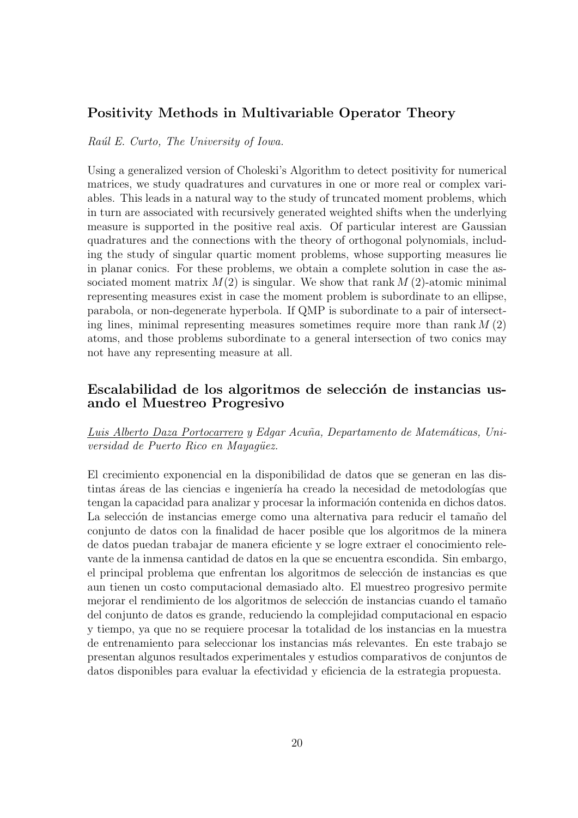#### Positivity Methods in Multivariable Operator Theory

#### Raúl E. Curto, The University of Iowa.

Using a generalized version of Choleski's Algorithm to detect positivity for numerical matrices, we study quadratures and curvatures in one or more real or complex variables. This leads in a natural way to the study of truncated moment problems, which in turn are associated with recursively generated weighted shifts when the underlying measure is supported in the positive real axis. Of particular interest are Gaussian quadratures and the connections with the theory of orthogonal polynomials, including the study of singular quartic moment problems, whose supporting measures lie in planar conics. For these problems, we obtain a complete solution in case the associated moment matrix  $M(2)$  is singular. We show that rank  $M(2)$ -atomic minimal representing measures exist in case the moment problem is subordinate to an ellipse, parabola, or non-degenerate hyperbola. If QMP is subordinate to a pair of intersecting lines, minimal representing measures sometimes require more than rank  $M(2)$ atoms, and those problems subordinate to a general intersection of two conics may not have any representing measure at all.

#### Escalabilidad de los algoritmos de selección de instancias usando el Muestreo Progresivo

#### Luis Alberto Daza Portocarrero y Edgar Acuña, Departamento de Matemáticas, Universidad de Puerto Rico en Mayagüez.

El crecimiento exponencial en la disponibilidad de datos que se generan en las distintas áreas de las ciencias e ingeniería ha creado la necesidad de metodologías que tengan la capacidad para analizar y procesar la información contenida en dichos datos. La selección de instancias emerge como una alternativa para reducir el tamaño del conjunto de datos con la finalidad de hacer posible que los algoritmos de la minera de datos puedan trabajar de manera eficiente y se logre extraer el conocimiento relevante de la inmensa cantidad de datos en la que se encuentra escondida. Sin embargo, el principal problema que enfrentan los algoritmos de selección de instancias es que aun tienen un costo computacional demasiado alto. El muestreo progresivo permite mejorar el rendimiento de los algoritmos de selección de instancias cuando el tamaño del conjunto de datos es grande, reduciendo la complejidad computacional en espacio y tiempo, ya que no se requiere procesar la totalidad de los instancias en la muestra de entrenamiento para seleccionar los instancias m´as relevantes. En este trabajo se presentan algunos resultados experimentales y estudios comparativos de conjuntos de datos disponibles para evaluar la efectividad y eficiencia de la estrategia propuesta.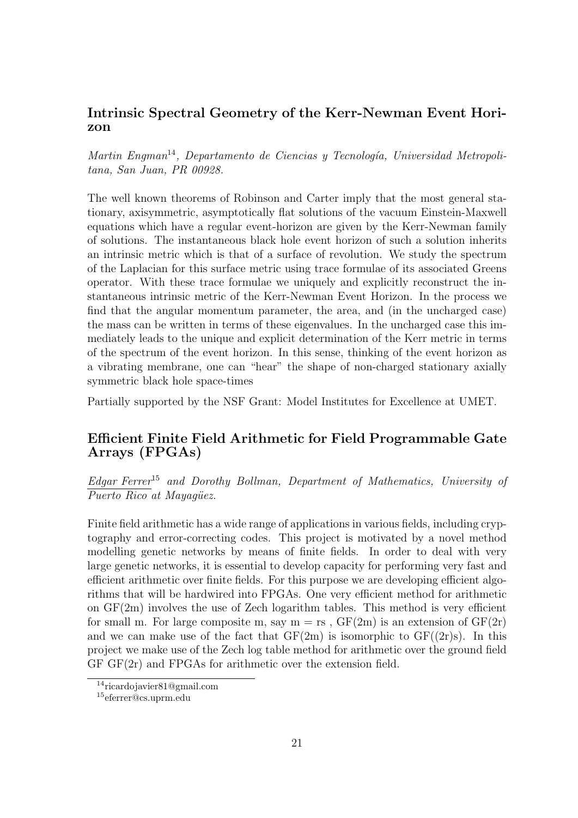#### Intrinsic Spectral Geometry of the Kerr-Newman Event Horizon

Martin Engman<sup>14</sup>, Departamento de Ciencias y Tecnología, Universidad Metropolitana, San Juan, PR 00928.

The well known theorems of Robinson and Carter imply that the most general stationary, axisymmetric, asymptotically flat solutions of the vacuum Einstein-Maxwell equations which have a regular event-horizon are given by the Kerr-Newman family of solutions. The instantaneous black hole event horizon of such a solution inherits an intrinsic metric which is that of a surface of revolution. We study the spectrum of the Laplacian for this surface metric using trace formulae of its associated Greens operator. With these trace formulae we uniquely and explicitly reconstruct the instantaneous intrinsic metric of the Kerr-Newman Event Horizon. In the process we find that the angular momentum parameter, the area, and (in the uncharged case) the mass can be written in terms of these eigenvalues. In the uncharged case this immediately leads to the unique and explicit determination of the Kerr metric in terms of the spectrum of the event horizon. In this sense, thinking of the event horizon as a vibrating membrane, one can "hear" the shape of non-charged stationary axially symmetric black hole space-times

Partially supported by the NSF Grant: Model Institutes for Excellence at UMET.

#### Efficient Finite Field Arithmetic for Field Programmable Gate Arrays (FPGAs)

Edgar Ferrer<sup>15</sup> and Dorothy Bollman, Department of Mathematics, University of  $\overline{P$ uerto Rico at Mayagüez.

Finite field arithmetic has a wide range of applications in various fields, including cryptography and error-correcting codes. This project is motivated by a novel method modelling genetic networks by means of finite fields. In order to deal with very large genetic networks, it is essential to develop capacity for performing very fast and efficient arithmetic over finite fields. For this purpose we are developing efficient algorithms that will be hardwired into FPGAs. One very efficient method for arithmetic on  $GF(2m)$  involves the use of Zech logarithm tables. This method is very efficient for small m. For large composite m, say  $m = rs$ ,  $GF(2m)$  is an extension of  $GF(2r)$ and we can make use of the fact that  $GF(2m)$  is isomorphic to  $GF((2r)s)$ . In this project we make use of the Zech log table method for arithmetic over the ground field GF GF(2r) and FPGAs for arithmetic over the extension field.

<sup>14</sup>ricardojavier81@gmail.com

<sup>15</sup>eferrer@cs.uprm.edu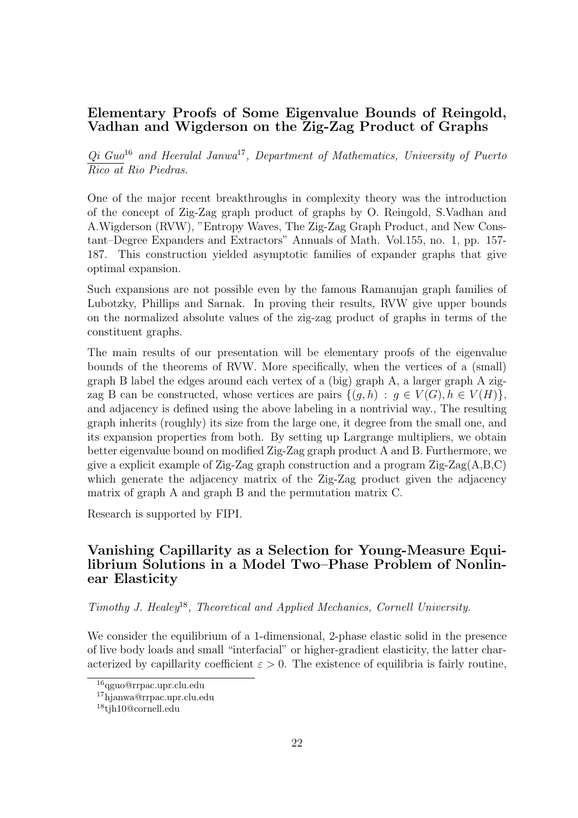#### Elementary Proofs of Some Eigenvalue Bounds of Reingold, Vadhan and Wigderson on the Zig-Zag Product of Graphs

 $Qi$  Guo<sup>16</sup> and Heeralal Janwa<sup>17</sup>, Department of Mathematics, University of Puerto Rico at Rio Piedras.

One of the major recent breakthroughs in complexity theory was the introduction of the concept of Zig-Zag graph product of graphs by O. Reingold, S.Vadhan and A.Wigderson (RVW), "Entropy Waves, The Zig-Zag Graph Product, and New Constant–Degree Expanders and Extractors" Annuals of Math. Vol.155, no. 1, pp. 157- 187. This construction yielded asymptotic families of expander graphs that give optimal expansion.

Such expansions are not possible even by the famous Ramanujan graph families of Lubotzky, Phillips and Sarnak. In proving their results, RVW give upper bounds on the normalized absolute values of the zig-zag product of graphs in terms of the constituent graphs.

The main results of our presentation will be elementary proofs of the eigenvalue bounds of the theorems of RVW. More specifically, when the vertices of a (small) graph B label the edges around each vertex of a (big) graph A, a larger graph A zigzag B can be constructed, whose vertices are pairs  $\{(q, h) : g \in V(G), h \in V(H)\},\$ and adjacency is defined using the above labeling in a nontrivial way., The resulting graph inherits (roughly) its size from the large one, it degree from the small one, and its expansion properties from both. By setting up Largrange multipliers, we obtain better eigenvalue bound on modified Zig-Zag graph product A and B. Furthermore, we give a explicit example of Zig-Zag graph construction and a program Zig-Zag(A,B,C) which generate the adjacency matrix of the Zig-Zag product given the adjacency matrix of graph A and graph B and the permutation matrix C.

Research is supported by FIPI.

## Vanishing Capillarity as a Selection for Young-Measure Equilibrium Solutions in a Model Two–Phase Problem of Nonlinear Elasticity

Timothy J. Healey<sup>18</sup>, Theoretical and Applied Mechanics, Cornell University.

We consider the equilibrium of a 1-dimensional, 2-phase elastic solid in the presence of live body loads and small "interfacial" or higher-gradient elasticity, the latter characterized by capillarity coefficient  $\varepsilon > 0$ . The existence of equilibria is fairly routine,

<sup>16</sup>qguo@rrpac.upr.clu.edu

<sup>17</sup>hjanwa@rrpac.upr.clu.edu

<sup>&</sup>lt;sup>18</sup>tih10@cornell.edu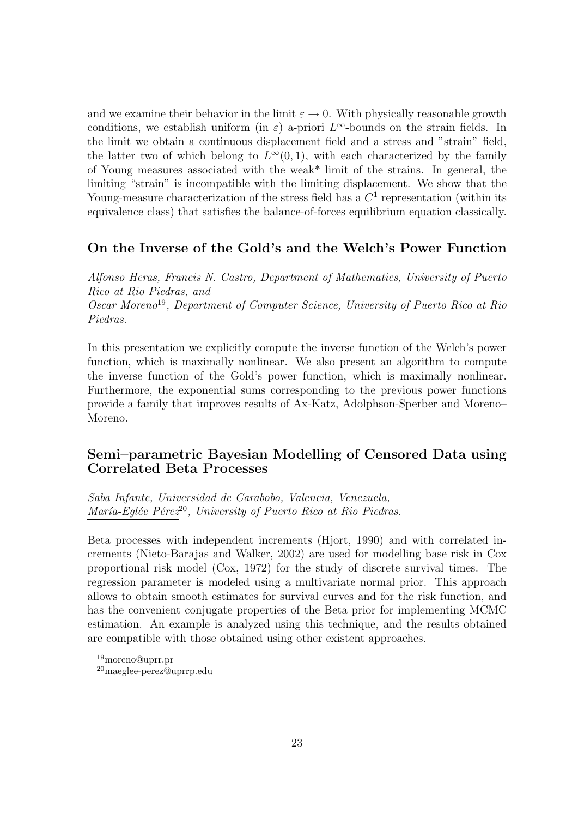and we examine their behavior in the limit  $\varepsilon \to 0$ . With physically reasonable growth conditions, we establish uniform (in  $\varepsilon$ ) a-priori  $L^{\infty}$ -bounds on the strain fields. In the limit we obtain a continuous displacement field and a stress and "strain" field, the latter two of which belong to  $L^{\infty}(0,1)$ , with each characterized by the family of Young measures associated with the weak\* limit of the strains. In general, the limiting "strain" is incompatible with the limiting displacement. We show that the Young-measure characterization of the stress field has a  $C<sup>1</sup>$  representation (within its equivalence class) that satisfies the balance-of-forces equilibrium equation classically.

#### On the Inverse of the Gold's and the Welch's Power Function

Alfonso Heras, Francis N. Castro, Department of Mathematics, University of Puerto Rico at Rio Piedras, and Oscar Moreno<sup>19</sup>, Department of Computer Science, University of Puerto Rico at Rio Piedras.

In this presentation we explicitly compute the inverse function of the Welch's power function, which is maximally nonlinear. We also present an algorithm to compute the inverse function of the Gold's power function, which is maximally nonlinear. Furthermore, the exponential sums corresponding to the previous power functions provide a family that improves results of Ax-Katz, Adolphson-Sperber and Moreno– Moreno.

# Semi–parametric Bayesian Modelling of Censored Data using Correlated Beta Processes

Saba Infante, Universidad de Carabobo, Valencia, Venezuela, María-Eglée Pére $z^{20}$ , University of Puerto Rico at Rio Piedras.

Beta processes with independent increments (Hjort, 1990) and with correlated increments (Nieto-Barajas and Walker, 2002) are used for modelling base risk in Cox proportional risk model (Cox, 1972) for the study of discrete survival times. The regression parameter is modeled using a multivariate normal prior. This approach allows to obtain smooth estimates for survival curves and for the risk function, and has the convenient conjugate properties of the Beta prior for implementing MCMC estimation. An example is analyzed using this technique, and the results obtained are compatible with those obtained using other existent approaches.

<sup>19</sup>moreno@uprr.pr

<sup>20</sup>maeglee-perez@uprrp.edu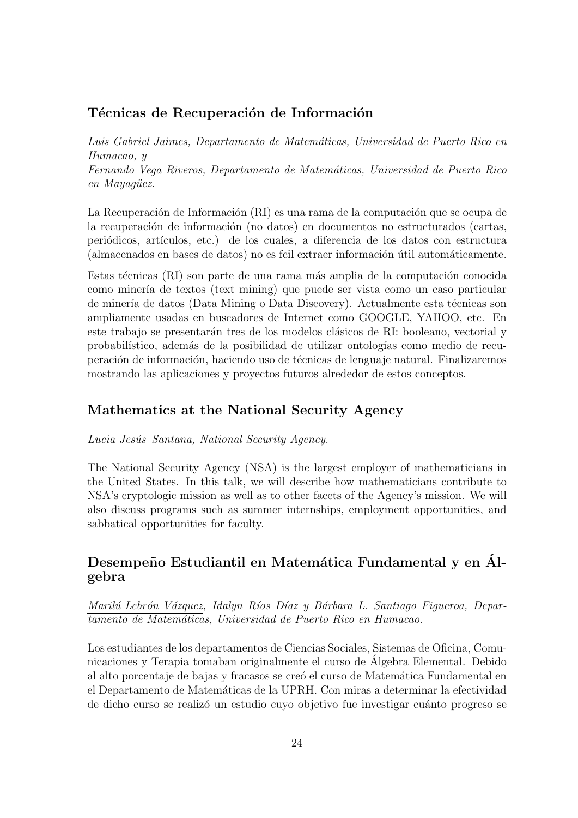#### Técnicas de Recuperación de Información

Luis Gabriel Jaimes, Departamento de Matemáticas, Universidad de Puerto Rico en Humacao, y Fernando Vega Riveros, Departamento de Matemáticas, Universidad de Puerto Rico en Mayagüez.

La Recuperación de Información (RI) es una rama de la computación que se ocupa de la recuperación de información (no datos) en documentos no estructurados (cartas, periódicos, artículos, etc.) de los cuales, a diferencia de los datos con estructura (almacenados en bases de datos) no es fcil extraer información útil automáticamente.

Estas técnicas (RI) son parte de una rama más amplia de la computación conocida como miner´ıa de textos (text mining) que puede ser vista como un caso particular de minería de datos (Data Mining o Data Discovery). Actualmente esta técnicas son ampliamente usadas en buscadores de Internet como GOOGLE, YAHOO, etc. En este trabajo se presentarán tres de los modelos clásicos de RI: booleano, vectorial y probabil´ıstico, adem´as de la posibilidad de utilizar ontolog´ıas como medio de recuperación de información, haciendo uso de técnicas de lenguaje natural. Finalizaremos mostrando las aplicaciones y proyectos futuros alrededor de estos conceptos.

#### Mathematics at the National Security Agency

Lucia Jesús–Santana, National Security Agency.

The National Security Agency (NSA) is the largest employer of mathematicians in the United States. In this talk, we will describe how mathematicians contribute to NSA's cryptologic mission as well as to other facets of the Agency's mission. We will also discuss programs such as summer internships, employment opportunities, and sabbatical opportunities for faculty.

# Desempeño Estudiantil en Matemática Fundamental y en Álgebra

Marilú Lebrón Vázquez, Idalyn Ríos Díaz y Bárbara L. Santiago Figueroa, Departamento de Matem´aticas, Universidad de Puerto Rico en Humacao.

Los estudiantes de los departamentos de Ciencias Sociales, Sistemas de Oficina, Comunicaciones y Terapia tomaban originalmente el curso de Algebra Elemental. Debido ´ al alto porcentaje de bajas y fracasos se creó el curso de Matemática Fundamental en el Departamento de Matem´aticas de la UPRH. Con miras a determinar la efectividad de dicho curso se realizó un estudio cuyo objetivo fue investigar cuánto progreso se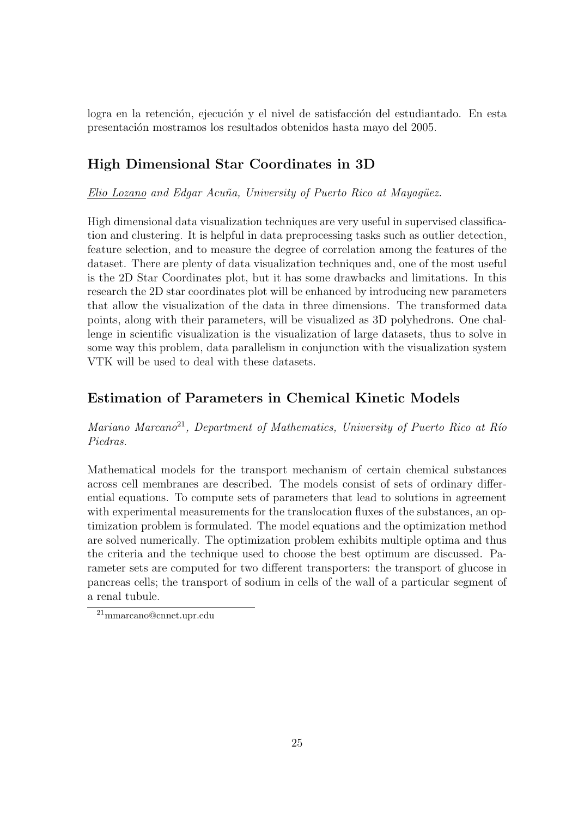logra en la retención, ejecución y el nivel de satisfacción del estudiantado. En esta presentaci´on mostramos los resultados obtenidos hasta mayo del 2005.

# High Dimensional Star Coordinates in 3D

Elio Lozano and Edgar Acuña, University of Puerto Rico at Mayaqüez.

High dimensional data visualization techniques are very useful in supervised classification and clustering. It is helpful in data preprocessing tasks such as outlier detection, feature selection, and to measure the degree of correlation among the features of the dataset. There are plenty of data visualization techniques and, one of the most useful is the 2D Star Coordinates plot, but it has some drawbacks and limitations. In this research the 2D star coordinates plot will be enhanced by introducing new parameters that allow the visualization of the data in three dimensions. The transformed data points, along with their parameters, will be visualized as 3D polyhedrons. One challenge in scientific visualization is the visualization of large datasets, thus to solve in some way this problem, data parallelism in conjunction with the visualization system VTK will be used to deal with these datasets.

#### Estimation of Parameters in Chemical Kinetic Models

Mariano Marcano<sup>21</sup>, Department of Mathematics, University of Puerto Rico at Río Piedras.

Mathematical models for the transport mechanism of certain chemical substances across cell membranes are described. The models consist of sets of ordinary differential equations. To compute sets of parameters that lead to solutions in agreement with experimental measurements for the translocation fluxes of the substances, an optimization problem is formulated. The model equations and the optimization method are solved numerically. The optimization problem exhibits multiple optima and thus the criteria and the technique used to choose the best optimum are discussed. Parameter sets are computed for two different transporters: the transport of glucose in pancreas cells; the transport of sodium in cells of the wall of a particular segment of a renal tubule.

<sup>21</sup>mmarcano@cnnet.upr.edu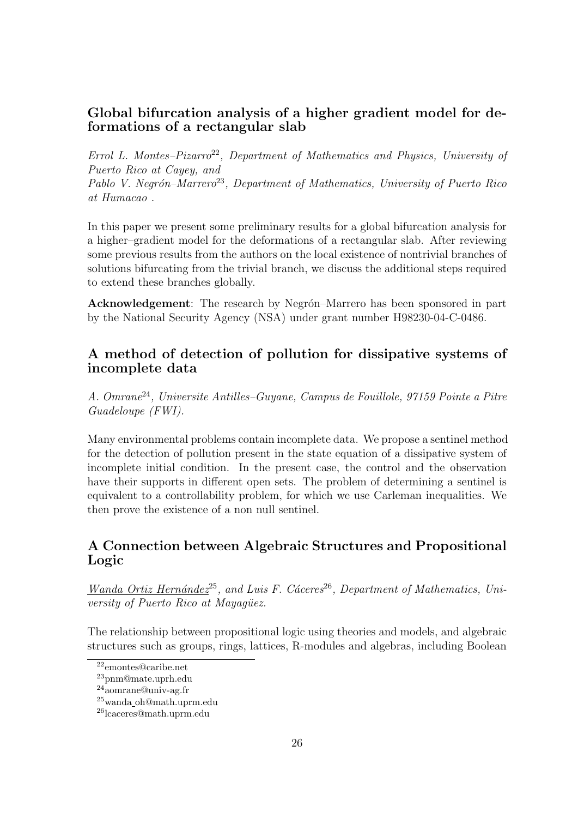#### Global bifurcation analysis of a higher gradient model for deformations of a rectangular slab

Errol L. Montes– $Pizarro<sup>22</sup>$ , Department of Mathematics and Physics, University of Puerto Rico at Cayey, and Pablo V. Negrón–Marrero<sup>23</sup>, Department of Mathematics, University of Puerto Rico at Humacao .

In this paper we present some preliminary results for a global bifurcation analysis for a higher–gradient model for the deformations of a rectangular slab. After reviewing some previous results from the authors on the local existence of nontrivial branches of solutions bifurcating from the trivial branch, we discuss the additional steps required to extend these branches globally.

Acknowledgement: The research by Negrón–Marrero has been sponsored in part by the National Security Agency (NSA) under grant number H98230-04-C-0486.

#### A method of detection of pollution for dissipative systems of incomplete data

A. Omrane<sup>24</sup>, Universite Antilles–Guyane, Campus de Fouillole, 97159 Pointe a Pitre Guadeloupe (FWI).

Many environmental problems contain incomplete data. We propose a sentinel method for the detection of pollution present in the state equation of a dissipative system of incomplete initial condition. In the present case, the control and the observation have their supports in different open sets. The problem of determining a sentinel is equivalent to a controllability problem, for which we use Carleman inequalities. We then prove the existence of a non null sentinel.

# A Connection between Algebraic Structures and Propositional Logic

Wanda Ortiz Hernández<sup>25</sup>, and Luis F. Cáceres<sup>26</sup>, Department of Mathematics, University of Puerto Rico at Mayagüez.

The relationship between propositional logic using theories and models, and algebraic structures such as groups, rings, lattices, R-modules and algebras, including Boolean

<sup>22</sup>emontes@caribe.net

<sup>23</sup>pnm@mate.uprh.edu

<sup>24</sup>aomrane@univ-ag.fr

<sup>25</sup>wanda oh@math.uprm.edu

<sup>26</sup>lcaceres@math.uprm.edu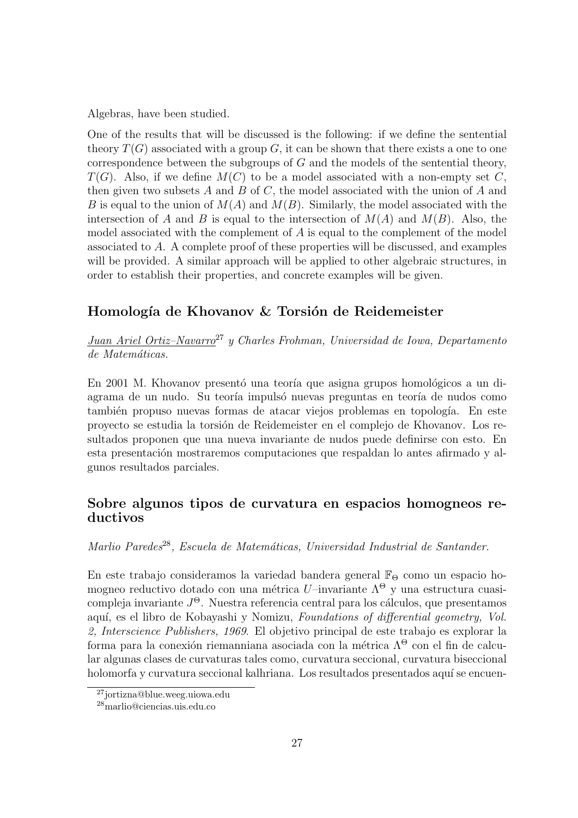Algebras, have been studied.

One of the results that will be discussed is the following: if we define the sentential theory  $T(G)$  associated with a group G, it can be shown that there exists a one to one correspondence between the subgroups of G and the models of the sentential theory,  $T(G)$ . Also, if we define  $M(C)$  to be a model associated with a non-empty set C. then given two subsets  $A$  and  $B$  of  $C$ , the model associated with the union of  $A$  and B is equal to the union of  $M(A)$  and  $M(B)$ . Similarly, the model associated with the intersection of A and B is equal to the intersection of  $M(A)$  and  $M(B)$ . Also, the model associated with the complement of A is equal to the complement of the model associated to A. A complete proof of these properties will be discussed, and examples will be provided. A similar approach will be applied to other algebraic structures, in order to establish their properties, and concrete examples will be given.

# Homología de Khovanov & Torsión de Reidemeister

Juan Ariel Ortiz–Navarro<sup>27</sup> y Charles Frohman, Universidad de Iowa, Departamento de Matemáticas.

En 2001 M. Khovanov presentó una teoría que asigna grupos homológicos a un diagrama de un nudo. Su teoría impulsó nuevas preguntas en teoría de nudos como también propuso nuevas formas de atacar viejos problemas en topología. En este proyecto se estudia la torsi´on de Reidemeister en el complejo de Khovanov. Los resultados proponen que una nueva invariante de nudos puede definirse con esto. En esta presentación mostraremos computaciones que respaldan lo antes afirmado y algunos resultados parciales.

# Sobre algunos tipos de curvatura en espacios homogneos reductivos

Marlio Paredes<sup>28</sup>, Escuela de Matemáticas, Universidad Industrial de Santander.

En este trabajo consideramos la variedad bandera general  $\mathbb{F}_{\Theta}$  como un espacio homogneo reductivo dotado con una métrica U–invariante  $\Lambda^{\Theta}$  y una estructura cuasicompleja invariante  $J^{\Theta}$ . Nuestra referencia central para los cálculos, que presentamos aquí, es el libro de Kobayashi y Nomizu, Foundations of differential geometry, Vol. 2, Interscience Publishers, 1969. El objetivo principal de este trabajo es explorar la forma para la conexión riemanniana asociada con la métrica  $\Lambda^{\Theta}$  con el fin de calcular algunas clases de curvaturas tales como, curvatura seccional, curvatura biseccional holomorfa y curvatura seccional kalhriana. Los resultados presentados aquí se encuen-

<sup>27</sup>jortizna@blue.weeg.uiowa.edu

<sup>28</sup>marlio@ciencias.uis.edu.co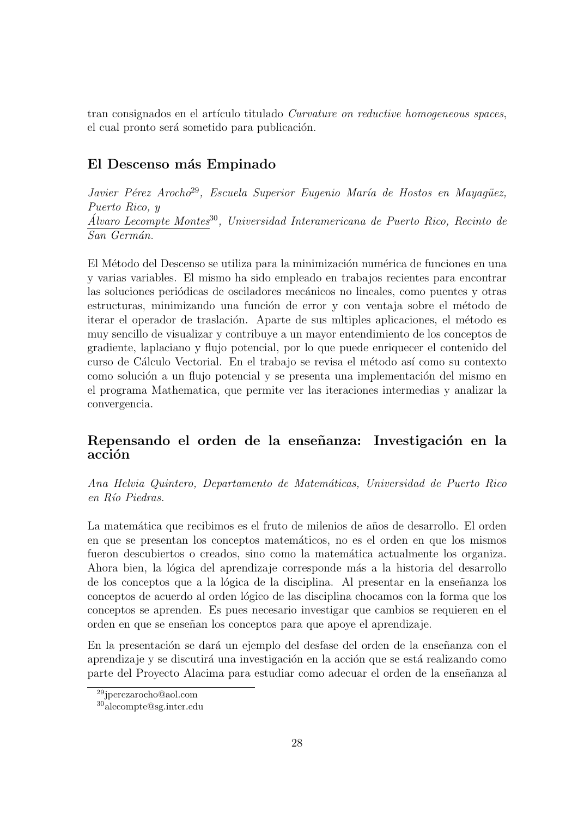tran consignados en el artículo titulado Curvature on reductive homogeneous spaces, el cual pronto será sometido para publicación.

# El Descenso más Empinado

Javier Pérez Arocho<sup>29</sup>, Escuela Superior Eugenio María de Hostos en Mayagüez, Puerto Rico, y  $\hat{A}$ lvaro Lecompte Montes<sup>30</sup>, Universidad Interamericana de Puerto Rico, Recinto de San Germán.

El Método del Descenso se utiliza para la minimización numérica de funciones en una y varias variables. El mismo ha sido empleado en trabajos recientes para encontrar las soluciones periódicas de osciladores mecánicos no lineales, como puentes y otras estructuras, minimizando una función de error y con ventaja sobre el método de iterar el operador de traslación. Aparte de sus mitiples aplicaciones, el método es muy sencillo de visualizar y contribuye a un mayor entendimiento de los conceptos de gradiente, laplaciano y flujo potencial, por lo que puede enriquecer el contenido del curso de C´alculo Vectorial. En el trabajo se revisa el m´etodo as´ı como su contexto como solución a un flujo potencial y se presenta una implementación del mismo en el programa Mathematica, que permite ver las iteraciones intermedias y analizar la convergencia.

#### Repensando el orden de la enseñanza: Investigación en la acción

Ana Helvia Quintero, Departamento de Matem´aticas, Universidad de Puerto Rico en Río Piedras.

La matemática que recibimos es el fruto de milenios de años de desarrollo. El orden en que se presentan los conceptos matem´aticos, no es el orden en que los mismos fueron descubiertos o creados, sino como la matemática actualmente los organiza. Ahora bien, la lógica del aprendizaje corresponde más a la historia del desarrollo de los conceptos que a la lógica de la disciplina. Al presentar en la enseñanza los conceptos de acuerdo al orden lógico de las disciplina chocamos con la forma que los conceptos se aprenden. Es pues necesario investigar que cambios se requieren en el orden en que se enseñan los conceptos para que apoye el aprendizaje.

En la presentación se dará un ejemplo del desfase del orden de la enseñanza con el aprendizaje y se discutirá una investigación en la acción que se está realizando como parte del Proyecto Alacima para estudiar como adecuar el orden de la enseñanza al

<sup>29</sup>jperezarocho@aol.com

<sup>30</sup>alecompte@sg.inter.edu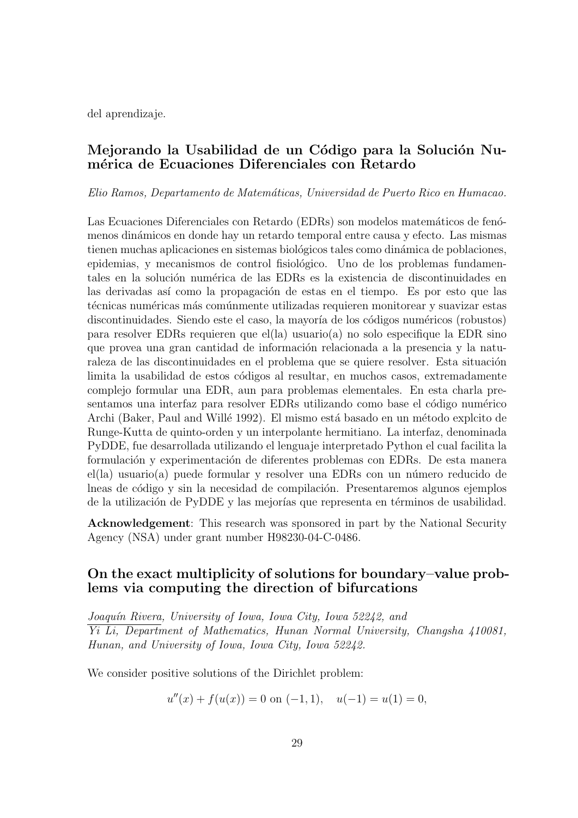del aprendizaje.

## Mejorando la Usabilidad de un Código para la Solución Numérica de Ecuaciones Diferenciales con Retardo

Elio Ramos, Departamento de Matem´aticas, Universidad de Puerto Rico en Humacao.

Las Ecuaciones Diferenciales con Retardo (EDRs) son modelos matemáticos de fenómenos din´amicos en donde hay un retardo temporal entre causa y efecto. Las mismas tienen muchas aplicaciones en sistemas biológicos tales como dinámica de poblaciones, epidemias, y mecanismos de control fisiológico. Uno de los problemas fundamentales en la solución numérica de las EDRs es la existencia de discontinuidades en las derivadas así como la propagación de estas en el tiempo. Es por esto que las técnicas numéricas más comúnmente utilizadas requieren monitorear y suavizar estas discontinuidades. Siendo este el caso, la mayoría de los códigos numéricos (robustos) para resolver EDRs requieren que el(la) usuario(a) no solo especifique la EDR sino que provea una gran cantidad de información relacionada a la presencia y la naturaleza de las discontinuidades en el problema que se quiere resolver. Esta situación limita la usabilidad de estos códigos al resultar, en muchos casos, extremadamente complejo formular una EDR, aun para problemas elementales. En esta charla presentamos una interfaz para resolver EDRs utilizando como base el código numérico Archi (Baker, Paul and Willé 1992). El mismo está basado en un método explcito de Runge-Kutta de quinto-orden y un interpolante hermitiano. La interfaz, denominada PyDDE, fue desarrollada utilizando el lenguaje interpretado Python el cual facilita la formulación y experimentación de diferentes problemas con EDRs. De esta manera  $el(a)$  usuario $(a)$  puede formular y resolver una EDRs con un número reducido de lneas de código y sin la necesidad de compilación. Presentaremos algunos ejemplos de la utilización de PyDDE y las mejorías que representa en términos de usabilidad.

Acknowledgement: This research was sponsored in part by the National Security Agency (NSA) under grant number H98230-04-C-0486.

#### On the exact multiplicity of solutions for boundary–value problems via computing the direction of bifurcations

Joaquín Rivera, University of Iowa, Iowa City, Iowa 52242, and Yi Li, Department of Mathematics, Hunan Normal University, Changsha 410081, Hunan, and University of Iowa, Iowa City, Iowa 52242.

We consider positive solutions of the Dirichlet problem:

$$
u''(x) + f(u(x)) = 0
$$
 on  $(-1, 1)$ ,  $u(-1) = u(1) = 0$ ,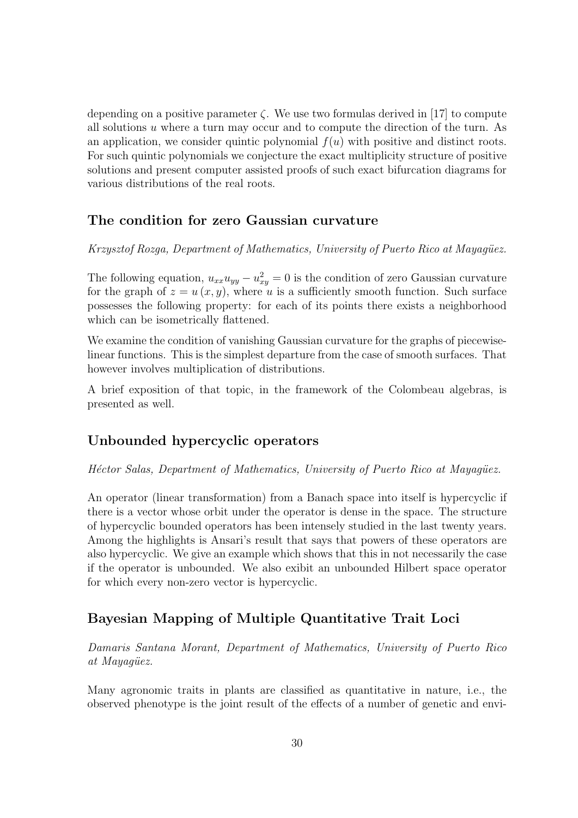depending on a positive parameter  $\zeta$ . We use two formulas derived in [17] to compute all solutions u where a turn may occur and to compute the direction of the turn. As an application, we consider quintic polynomial  $f(u)$  with positive and distinct roots. For such quintic polynomials we conjecture the exact multiplicity structure of positive solutions and present computer assisted proofs of such exact bifurcation diagrams for various distributions of the real roots.

#### The condition for zero Gaussian curvature

Krzysztof Rozga, Department of Mathematics, University of Puerto Rico at Mayagüez.

The following equation,  $u_{xx}u_{yy} - u_{xy}^2 = 0$  is the condition of zero Gaussian curvature for the graph of  $z = u(x, y)$ , where u is a sufficiently smooth function. Such surface possesses the following property: for each of its points there exists a neighborhood which can be isometrically flattened.

We examine the condition of vanishing Gaussian curvature for the graphs of piecewiselinear functions. This is the simplest departure from the case of smooth surfaces. That however involves multiplication of distributions.

A brief exposition of that topic, in the framework of the Colombeau algebras, is presented as well.

#### Unbounded hypercyclic operators

Héctor Salas, Department of Mathematics, University of Puerto Rico at Mayagüez.

An operator (linear transformation) from a Banach space into itself is hypercyclic if there is a vector whose orbit under the operator is dense in the space. The structure of hypercyclic bounded operators has been intensely studied in the last twenty years. Among the highlights is Ansari's result that says that powers of these operators are also hypercyclic. We give an example which shows that this in not necessarily the case if the operator is unbounded. We also exibit an unbounded Hilbert space operator for which every non-zero vector is hypercyclic.

# Bayesian Mapping of Multiple Quantitative Trait Loci

Damaris Santana Morant, Department of Mathematics, University of Puerto Rico at Mayagüez.

Many agronomic traits in plants are classified as quantitative in nature, i.e., the observed phenotype is the joint result of the effects of a number of genetic and envi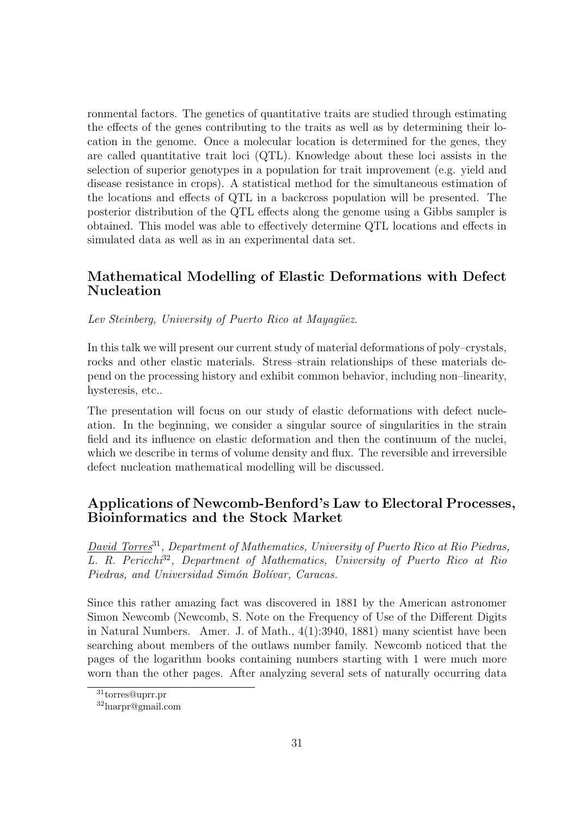ronmental factors. The genetics of quantitative traits are studied through estimating the effects of the genes contributing to the traits as well as by determining their location in the genome. Once a molecular location is determined for the genes, they are called quantitative trait loci (QTL). Knowledge about these loci assists in the selection of superior genotypes in a population for trait improvement (e.g. yield and disease resistance in crops). A statistical method for the simultaneous estimation of the locations and effects of QTL in a backcross population will be presented. The posterior distribution of the QTL effects along the genome using a Gibbs sampler is obtained. This model was able to effectively determine QTL locations and effects in simulated data as well as in an experimental data set.

#### Mathematical Modelling of Elastic Deformations with Defect Nucleation

Lev Steinberg, University of Puerto Rico at Mayagüez.

In this talk we will present our current study of material deformations of poly–crystals, rocks and other elastic materials. Stress–strain relationships of these materials depend on the processing history and exhibit common behavior, including non–linearity, hysteresis, etc..

The presentation will focus on our study of elastic deformations with defect nucleation. In the beginning, we consider a singular source of singularities in the strain field and its influence on elastic deformation and then the continuum of the nuclei, which we describe in terms of volume density and flux. The reversible and irreversible defect nucleation mathematical modelling will be discussed.

#### Applications of Newcomb-Benford's Law to Electoral Processes, Bioinformatics and the Stock Market

David Torres<sup>31</sup>, Department of Mathematics, University of Puerto Rico at Rio Piedras, L. R. Pericchi<sup>32</sup>, Department of Mathematics, University of Puerto Rico at Rio Piedras, and Universidad Simón Bolívar, Caracas.

Since this rather amazing fact was discovered in 1881 by the American astronomer Simon Newcomb (Newcomb, S. Note on the Frequency of Use of the Different Digits in Natural Numbers. Amer. J. of Math., 4(1):3940, 1881) many scientist have been searching about members of the outlaws number family. Newcomb noticed that the pages of the logarithm books containing numbers starting with 1 were much more worn than the other pages. After analyzing several sets of naturally occurring data

<sup>31</sup>torres@uprr.pr

<sup>32</sup>luarpr@gmail.com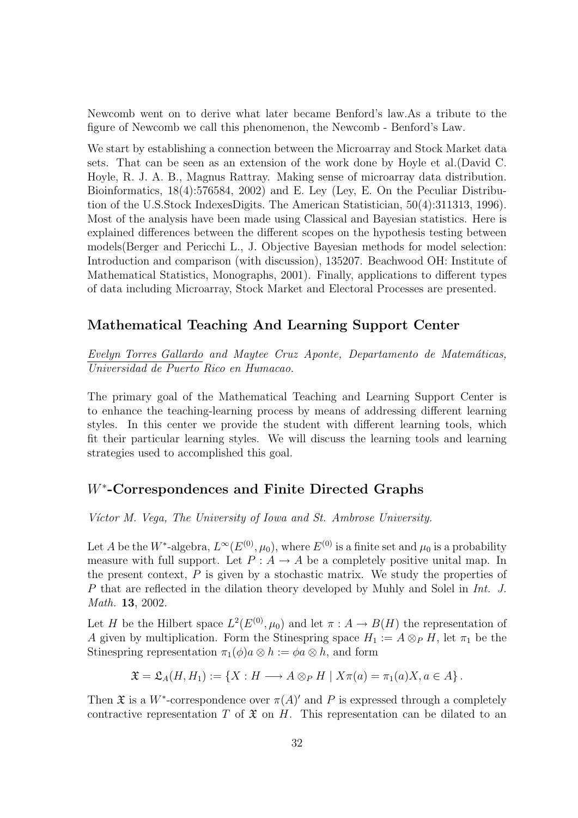Newcomb went on to derive what later became Benford's law.As a tribute to the figure of Newcomb we call this phenomenon, the Newcomb - Benford's Law.

We start by establishing a connection between the Microarray and Stock Market data sets. That can be seen as an extension of the work done by Hoyle et al.(David C. Hoyle, R. J. A. B., Magnus Rattray. Making sense of microarray data distribution. Bioinformatics, 18(4):576584, 2002) and E. Ley (Ley, E. On the Peculiar Distribution of the U.S.Stock IndexesDigits. The American Statistician, 50(4):311313, 1996). Most of the analysis have been made using Classical and Bayesian statistics. Here is explained differences between the different scopes on the hypothesis testing between models(Berger and Pericchi L., J. Objective Bayesian methods for model selection: Introduction and comparison (with discussion), 135207. Beachwood OH: Institute of Mathematical Statistics, Monographs, 2001). Finally, applications to different types of data including Microarray, Stock Market and Electoral Processes are presented.

#### Mathematical Teaching And Learning Support Center

Evelyn Torres Gallardo and Maytee Cruz Aponte, Departamento de Matemáticas, Universidad de Puerto Rico en Humacao.

The primary goal of the Mathematical Teaching and Learning Support Center is to enhance the teaching-learning process by means of addressing different learning styles. In this center we provide the student with different learning tools, which fit their particular learning styles. We will discuss the learning tools and learning strategies used to accomplished this goal.

# W<sup>∗</sup> -Correspondences and Finite Directed Graphs

Víctor M. Vega, The University of Iowa and St. Ambrose University.

Let A be the W<sup>\*</sup>-algebra,  $L^{\infty}(E^{(0)}, \mu_0)$ , where  $E^{(0)}$  is a finite set and  $\mu_0$  is a probability measure with full support. Let  $P: A \rightarrow A$  be a completely positive unital map. In the present context,  $P$  is given by a stochastic matrix. We study the properties of P that are reflected in the dilation theory developed by Muhly and Solel in Int. J. Math. 13, 2002.

Let H be the Hilbert space  $L^2(E^{(0)}, \mu_0)$  and let  $\pi : A \to B(H)$  the representation of A given by multiplication. Form the Stinespring space  $H_1 := A \otimes_P H$ , let  $\pi_1$  be the Stinespring representation  $\pi_1(\phi)a \otimes h := \phi a \otimes h$ , and form

$$
\mathfrak{X}=\mathfrak{L}_A(H,H_1):=\{X:H\longrightarrow A\otimes_P H\mid X\pi(a)=\pi_1(a)X, a\in A\}.
$$

Then  $\mathfrak X$  is a W<sup>\*</sup>-correspondence over  $\pi(A)'$  and P is expressed through a completely contractive representation T of  $\mathfrak X$  on H. This representation can be dilated to an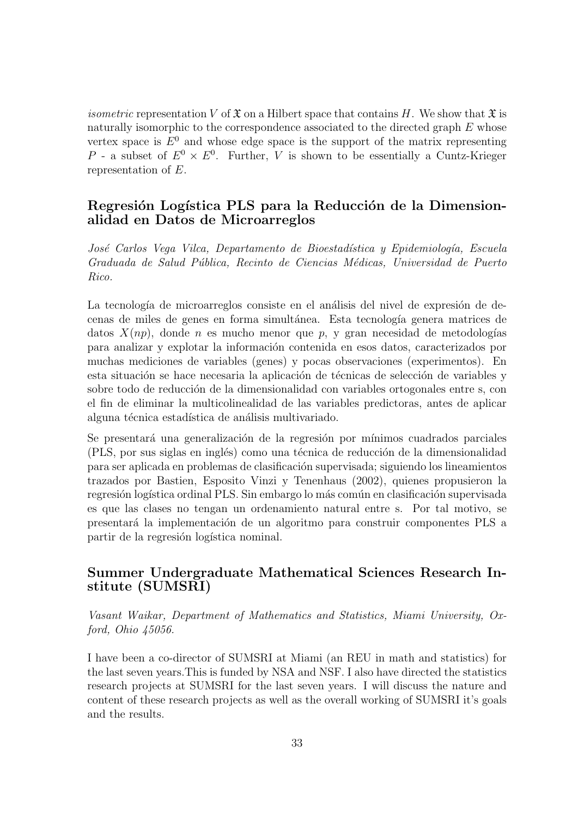*isometric* representation V of  $\mathfrak X$  on a Hilbert space that contains H. We show that  $\mathfrak X$  is naturally isomorphic to the correspondence associated to the directed graph E whose vertex space is  $E^0$  and whose edge space is the support of the matrix representing P - a subset of  $E^0 \times E^0$ . Further, V is shown to be essentially a Cuntz-Krieger representation of E.

#### Regresión Logística PLS para la Reducción de la Dimensionalidad en Datos de Microarreglos

José Carlos Vega Vilca, Departamento de Bioestadística y Epidemiología, Escuela Graduada de Salud Pública, Recinto de Ciencias Médicas, Universidad de Puerto Rico.

La tecnología de microarreglos consiste en el análisis del nivel de expresión de decenas de miles de genes en forma simultánea. Esta tecnología genera matrices de datos  $X(np)$ , donde n es mucho menor que p, y gran necesidad de metodologías para analizar y explotar la informaci´on contenida en esos datos, caracterizados por muchas mediciones de variables (genes) y pocas observaciones (experimentos). En esta situación se hace necesaria la aplicación de técnicas de selección de variables y sobre todo de reducción de la dimensionalidad con variables ortogonales entre s, con el fin de eliminar la multicolinealidad de las variables predictoras, antes de aplicar alguna técnica estadística de análisis multivariado.

Se presentará una generalización de la regresión por mínimos cuadrados parciales (PLS, por sus siglas en inglés) como una técnica de reducción de la dimensionalidad para ser aplicada en problemas de clasificación supervisada; siguiendo los lineamientos trazados por Bastien, Esposito Vinzi y Tenenhaus (2002), quienes propusieron la regresión logística ordinal PLS. Sin embargo lo más común en clasificación supervisada es que las clases no tengan un ordenamiento natural entre s. Por tal motivo, se presentar´a la implementaci´on de un algoritmo para construir componentes PLS a partir de la regresión logística nominal.

#### Summer Undergraduate Mathematical Sciences Research Institute (SUMSRI)

Vasant Waikar, Department of Mathematics and Statistics, Miami University, Oxford, Ohio 45056.

I have been a co-director of SUMSRI at Miami (an REU in math and statistics) for the last seven years.This is funded by NSA and NSF. I also have directed the statistics research projects at SUMSRI for the last seven years. I will discuss the nature and content of these research projects as well as the overall working of SUMSRI it's goals and the results.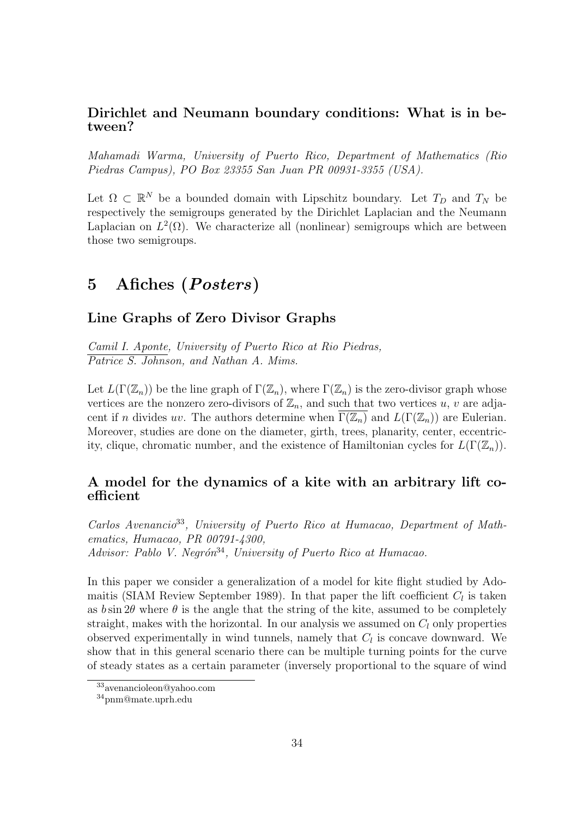#### Dirichlet and Neumann boundary conditions: What is in between?

Mahamadi Warma, University of Puerto Rico, Department of Mathematics (Rio Piedras Campus), PO Box 23355 San Juan PR 00931-3355 (USA).

Let  $\Omega \subset \mathbb{R}^N$  be a bounded domain with Lipschitz boundary. Let  $T_D$  and  $T_N$  be respectively the semigroups generated by the Dirichlet Laplacian and the Neumann Laplacian on  $L^2(\Omega)$ . We characterize all (nonlinear) semigroups which are between those two semigroups.

# 5 Afiches (Posters)

# Line Graphs of Zero Divisor Graphs

Camil I. Aponte, University of Puerto Rico at Rio Piedras, Patrice S. Johnson, and Nathan A. Mims.

Let  $L(\Gamma(\mathbb{Z}_n))$  be the line graph of  $\Gamma(\mathbb{Z}_n)$ , where  $\Gamma(\mathbb{Z}_n)$  is the zero-divisor graph whose vertices are the nonzero zero-divisors of  $\mathbb{Z}_n$ , and such that two vertices u, v are adjacent if n divides uv. The authors determine when  $\Gamma(\mathbb{Z}_n)$  and  $L(\Gamma(\mathbb{Z}_n))$  are Eulerian. Moreover, studies are done on the diameter, girth, trees, planarity, center, eccentricity, clique, chromatic number, and the existence of Hamiltonian cycles for  $L(\Gamma(\mathbb{Z}_n))$ .

#### A model for the dynamics of a kite with an arbitrary lift coefficient

Carlos Avenancio<sup>33</sup>, University of Puerto Rico at Humacao, Department of Mathematics, Humacao, PR 00791-4300, Advisor: Pablo V. Negrón<sup>34</sup>, University of Puerto Rico at Humacao.

In this paper we consider a generalization of a model for kite flight studied by Adomaitis (SIAM Review September 1989). In that paper the lift coefficient  $C_l$  is taken as  $b \sin 2\theta$  where  $\theta$  is the angle that the string of the kite, assumed to be completely straight, makes with the horizontal. In our analysis we assumed on  $C_l$  only properties observed experimentally in wind tunnels, namely that  $C_l$  is concave downward. We show that in this general scenario there can be multiple turning points for the curve of steady states as a certain parameter (inversely proportional to the square of wind

<sup>33</sup>avenancioleon@yahoo.com

<sup>34</sup>pnm@mate.uprh.edu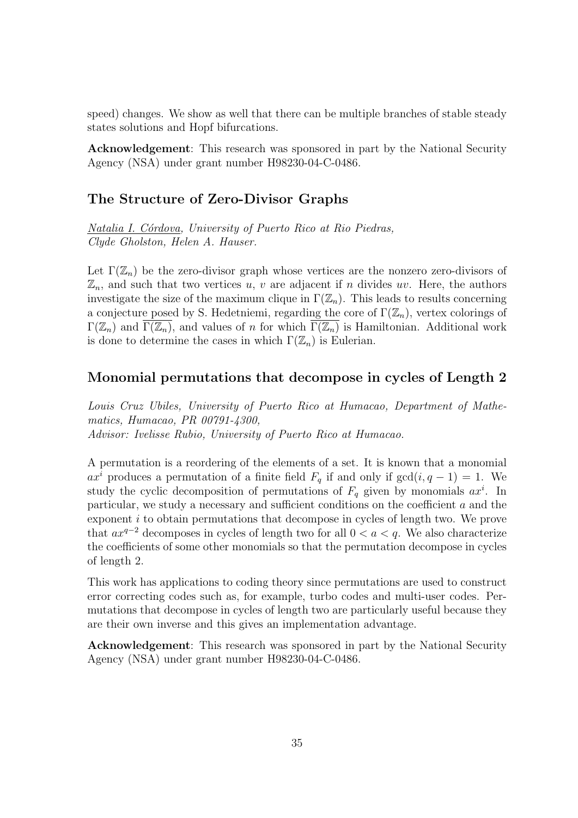speed) changes. We show as well that there can be multiple branches of stable steady states solutions and Hopf bifurcations.

Acknowledgement: This research was sponsored in part by the National Security Agency (NSA) under grant number H98230-04-C-0486.

#### The Structure of Zero-Divisor Graphs

Natalia I. Córdova, University of Puerto Rico at Rio Piedras, Clyde Gholston, Helen A. Hauser.

Let  $\Gamma(\mathbb{Z}_n)$  be the zero-divisor graph whose vertices are the nonzero zero-divisors of  $\mathbb{Z}_n$ , and such that two vertices u, v are adjacent if n divides uv. Here, the authors investigate the size of the maximum clique in  $\Gamma(\mathbb{Z}_n)$ . This leads to results concerning a conjecture posed by S. Hedetniemi, regarding the core of  $\Gamma(\mathbb{Z}_n)$ , vertex colorings of  $\Gamma(\mathbb{Z}_n)$  and  $\Gamma(\mathbb{Z}_n)$ , and values of n for which  $\Gamma(\mathbb{Z}_n)$  is Hamiltonian. Additional work is done to determine the cases in which  $\Gamma(\mathbb{Z}_n)$  is Eulerian.

#### Monomial permutations that decompose in cycles of Length 2

Louis Cruz Ubiles, University of Puerto Rico at Humacao, Department of Mathematics, Humacao, PR 00791-4300, Advisor: Ivelisse Rubio, University of Puerto Rico at Humacao.

A permutation is a reordering of the elements of a set. It is known that a monomial  $ax^{i}$  produces a permutation of a finite field  $F_q$  if and only if  $gcd(i, q - 1) = 1$ . We study the cyclic decomposition of permutations of  $F_q$  given by monomials  $ax^i$ . In particular, we study a necessary and sufficient conditions on the coefficient  $a$  and the exponent i to obtain permutations that decompose in cycles of length two. We prove that  $ax^{q-2}$  decomposes in cycles of length two for all  $0 < a < q$ . We also characterize the coefficients of some other monomials so that the permutation decompose in cycles of length 2.

This work has applications to coding theory since permutations are used to construct error correcting codes such as, for example, turbo codes and multi-user codes. Permutations that decompose in cycles of length two are particularly useful because they are their own inverse and this gives an implementation advantage.

Acknowledgement: This research was sponsored in part by the National Security Agency (NSA) under grant number H98230-04-C-0486.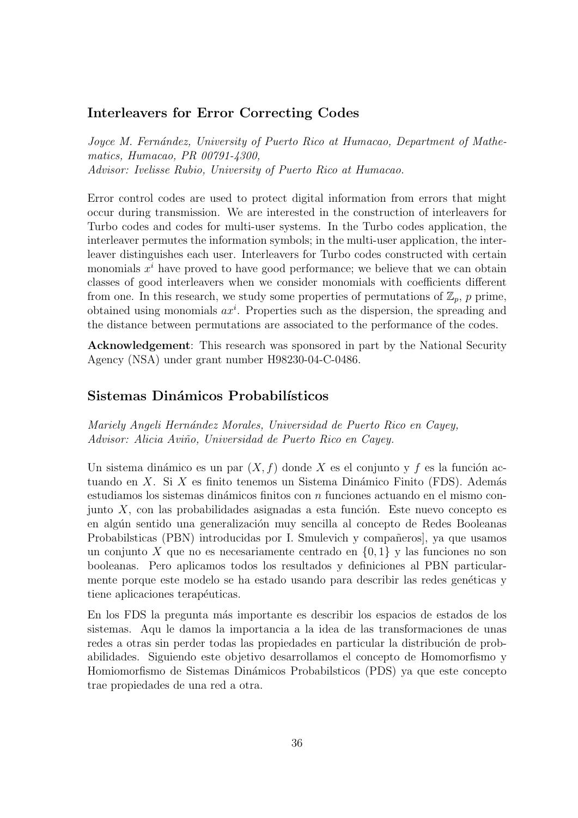#### Interleavers for Error Correcting Codes

Joyce M. Fernández, University of Puerto Rico at Humacao, Department of Mathematics, Humacao, PR 00791-4300, Advisor: Ivelisse Rubio, University of Puerto Rico at Humacao.

Error control codes are used to protect digital information from errors that might occur during transmission. We are interested in the construction of interleavers for Turbo codes and codes for multi-user systems. In the Turbo codes application, the interleaver permutes the information symbols; in the multi-user application, the interleaver distinguishes each user. Interleavers for Turbo codes constructed with certain monomials  $x^i$  have proved to have good performance; we believe that we can obtain classes of good interleavers when we consider monomials with coefficients different from one. In this research, we study some properties of permutations of  $\mathbb{Z}_p$ , p prime, obtained using monomials  $ax^i$ . Properties such as the dispersion, the spreading and the distance between permutations are associated to the performance of the codes.

Acknowledgement: This research was sponsored in part by the National Security Agency (NSA) under grant number H98230-04-C-0486.

#### Sistemas Dinámicos Probabilísticos

Mariely Angeli Hernández Morales, Universidad de Puerto Rico en Cayey, Advisor: Alicia Aviño, Universidad de Puerto Rico en Cayey.

Un sistema dinámico es un par  $(X, f)$  donde X es el conjunto y f es la función actuando en X. Si X es finito tenemos un Sistema Dinámico Finito (FDS). Además estudiamos los sistemas dinámicos finitos con  $n$  funciones actuando en el mismo conjunto  $X$ , con las probabilidades asignadas a esta función. Este nuevo concepto es en algún sentido una generalización muy sencilla al concepto de Redes Booleanas Probabilsticas (PBN) introducidas por I. Smulevich y compañeros, ya que usamos un conjunto X que no es necesariamente centrado en  $\{0,1\}$  y las funciones no son booleanas. Pero aplicamos todos los resultados y definiciones al PBN particularmente porque este modelo se ha estado usando para describir las redes genéticas y tiene aplicaciones terapéuticas.

En los FDS la pregunta m´as importante es describir los espacios de estados de los sistemas. Aqu le damos la importancia a la idea de las transformaciones de unas redes a otras sin perder todas las propiedades en particular la distribución de probabilidades. Siguiendo este objetivo desarrollamos el concepto de Homomorfismo y Homiomorfismo de Sistemas Din´amicos Probabilsticos (PDS) ya que este concepto trae propiedades de una red a otra.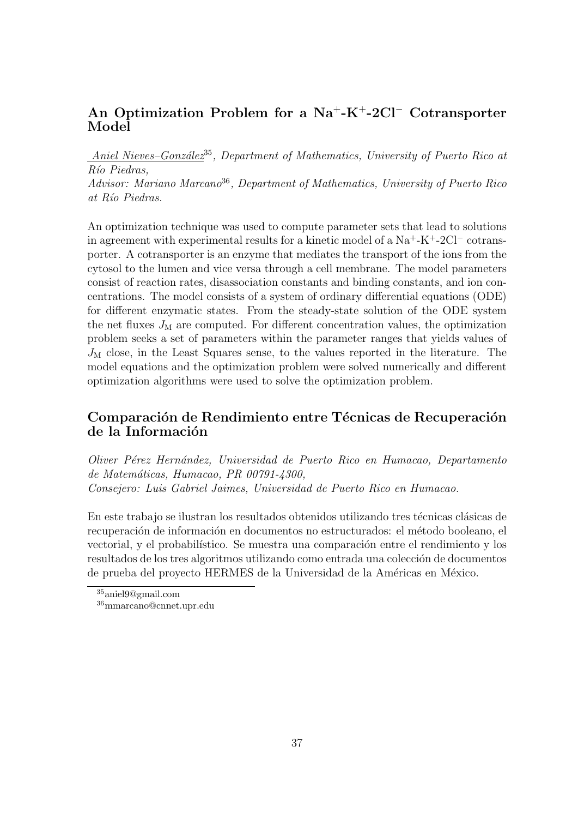# An Optimization Problem for a  $Na^+ - K^+ - 2Cl^-$  Cotransporter Model

Aniel Nieves–González<sup>35</sup>, Department of Mathematics, University of Puerto Rico at Río Piedras,

Advisor: Mariano Marcano<sup>36</sup>, Department of Mathematics, University of Puerto Rico at Río Piedras.

An optimization technique was used to compute parameter sets that lead to solutions in agreement with experimental results for a kinetic model of a Na<sup>+</sup>-K<sup>+</sup>-2Cl<sup>−</sup> cotransporter. A cotransporter is an enzyme that mediates the transport of the ions from the cytosol to the lumen and vice versa through a cell membrane. The model parameters consist of reaction rates, disassociation constants and binding constants, and ion concentrations. The model consists of a system of ordinary differential equations (ODE) for different enzymatic states. From the steady-state solution of the ODE system the net fluxes  $J<sub>M</sub>$  are computed. For different concentration values, the optimization problem seeks a set of parameters within the parameter ranges that yields values of  $J<sub>M</sub>$  close, in the Least Squares sense, to the values reported in the literature. The model equations and the optimization problem were solved numerically and different optimization algorithms were used to solve the optimization problem.

#### Comparación de Rendimiento entre Técnicas de Recuperación de la Información

Oliver P´erez Hern´andez, Universidad de Puerto Rico en Humacao, Departamento de Matemáticas, Humacao, PR 00791-4300, Consejero: Luis Gabriel Jaimes, Universidad de Puerto Rico en Humacao.

En este trabajo se ilustran los resultados obtenidos utilizando tres técnicas clásicas de recuperación de información en documentos no estructurados: el método booleano, el vectorial, y el probabilístico. Se muestra una comparación entre el rendimiento y los resultados de los tres algoritmos utilizando como entrada una colección de documentos de prueba del proyecto HERMES de la Universidad de la Américas en México.

 $35$ aniel $9@$ gmail.com

<sup>36</sup>mmarcano@cnnet.upr.edu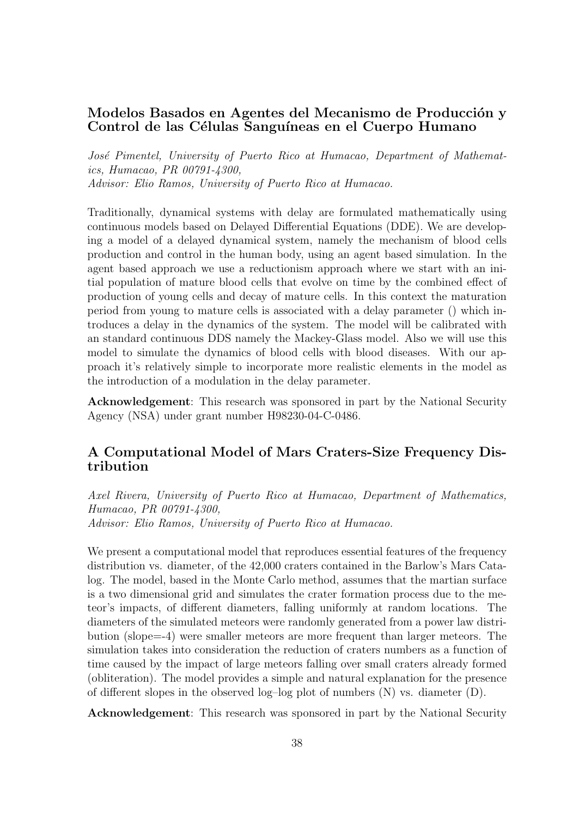#### Modelos Basados en Agentes del Mecanismo de Producción y Control de las Células Sanguíneas en el Cuerpo Humano

José Pimentel, University of Puerto Rico at Humacao, Department of Mathematics, Humacao, PR 00791-4300, Advisor: Elio Ramos, University of Puerto Rico at Humacao.

Traditionally, dynamical systems with delay are formulated mathematically using continuous models based on Delayed Differential Equations (DDE). We are developing a model of a delayed dynamical system, namely the mechanism of blood cells production and control in the human body, using an agent based simulation. In the agent based approach we use a reductionism approach where we start with an initial population of mature blood cells that evolve on time by the combined effect of production of young cells and decay of mature cells. In this context the maturation period from young to mature cells is associated with a delay parameter () which introduces a delay in the dynamics of the system. The model will be calibrated with an standard continuous DDS namely the Mackey-Glass model. Also we will use this model to simulate the dynamics of blood cells with blood diseases. With our approach it's relatively simple to incorporate more realistic elements in the model as the introduction of a modulation in the delay parameter.

Acknowledgement: This research was sponsored in part by the National Security Agency (NSA) under grant number H98230-04-C-0486.

#### A Computational Model of Mars Craters-Size Frequency Distribution

Axel Rivera, University of Puerto Rico at Humacao, Department of Mathematics, Humacao, PR 00791-4300, Advisor: Elio Ramos, University of Puerto Rico at Humacao.

We present a computational model that reproduces essential features of the frequency distribution vs. diameter, of the 42,000 craters contained in the Barlow's Mars Catalog. The model, based in the Monte Carlo method, assumes that the martian surface is a two dimensional grid and simulates the crater formation process due to the meteor's impacts, of different diameters, falling uniformly at random locations. The diameters of the simulated meteors were randomly generated from a power law distribution (slope=-4) were smaller meteors are more frequent than larger meteors. The simulation takes into consideration the reduction of craters numbers as a function of time caused by the impact of large meteors falling over small craters already formed (obliteration). The model provides a simple and natural explanation for the presence of different slopes in the observed log-log plot of numbers  $(N)$  vs. diameter  $(D)$ .

Acknowledgement: This research was sponsored in part by the National Security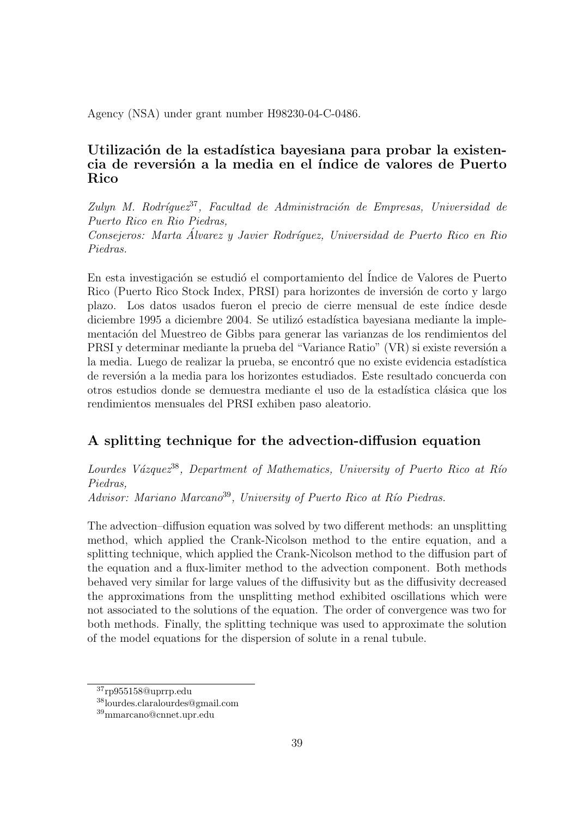Agency (NSA) under grant number H98230-04-C-0486.

# Utilización de la estadística bayesiana para probar la existencia de reversión a la media en el índice de valores de Puerto Rico

Zulyn M. Rodríguez<sup>37</sup>, Facultad de Administración de Empresas, Universidad de Puerto Rico en Rio Piedras,

Consejeros: Marta Álvarez y Javier Rodríquez, Universidad de Puerto Rico en Rio Piedras.

En esta investigación se estudió el comportamiento del Índice de Valores de Puerto Rico (Puerto Rico Stock Index, PRSI) para horizontes de inversión de corto y largo plazo. Los datos usados fueron el precio de cierre mensual de este ´ındice desde diciembre 1995 a diciembre 2004. Se utilizó estadística bayesiana mediante la implementación del Muestreo de Gibbs para generar las varianzas de los rendimientos del PRSI y determinar mediante la prueba del "Variance Ratio" (VR) si existe reversión a la media. Luego de realizar la prueba, se encontró que no existe evidencia estadística de reversión a la media para los horizontes estudiados. Este resultado concuerda con otros estudios donde se demuestra mediante el uso de la estadística clásica que los rendimientos mensuales del PRSI exhiben paso aleatorio.

# A splitting technique for the advection-diffusion equation

Lourdes Vázquez<sup>38</sup>, Department of Mathematics, University of Puerto Rico at Río Piedras,

Advisor: Mariano Marcano<sup>39</sup>, University of Puerto Rico at Río Piedras.

The advection–diffusion equation was solved by two different methods: an unsplitting method, which applied the Crank-Nicolson method to the entire equation, and a splitting technique, which applied the Crank-Nicolson method to the diffusion part of the equation and a flux-limiter method to the advection component. Both methods behaved very similar for large values of the diffusivity but as the diffusivity decreased the approximations from the unsplitting method exhibited oscillations which were not associated to the solutions of the equation. The order of convergence was two for both methods. Finally, the splitting technique was used to approximate the solution of the model equations for the dispersion of solute in a renal tubule.

<sup>37</sup>rp955158@uprrp.edu

<sup>38</sup>lourdes.claralourdes@gmail.com

<sup>39</sup>mmarcano@cnnet.upr.edu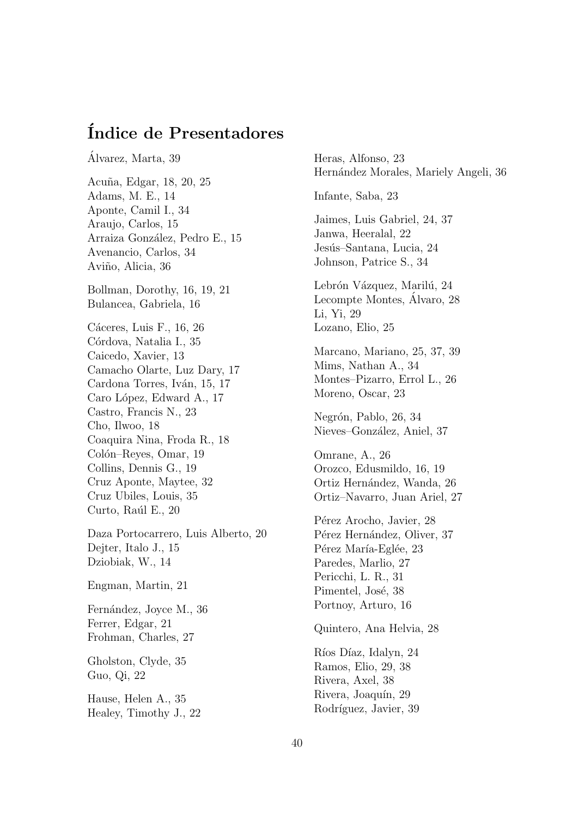# ´Indice de Presentadores

Alvarez, Marta, 39 ´ Acu˜na, Edgar, 18, 20, 25 Adams, M. E., 14 Aponte, Camil I., 34 Araujo, Carlos, 15 Arraiza González, Pedro E., 15 Avenancio, Carlos, 34 Aviño, Alicia, 36 Bollman, Dorothy, 16, 19, 21 Bulancea, Gabriela, 16 Cáceres, Luis F., 16, 26 Córdova, Natalia I., 35 Caicedo, Xavier, 13 Camacho Olarte, Luz Dary, 17 Cardona Torres, Iván, 15, 17 Caro López, Edward A., 17 Castro, Francis N., 23 Cho, Ilwoo, 18 Coaquira Nina, Froda R., 18 Colón–Reyes, Omar, 19 Collins, Dennis G., 19 Cruz Aponte, Maytee, 32 Cruz Ubiles, Louis, 35 Curto, Raúl E., 20 Daza Portocarrero, Luis Alberto, 20 Dejter, Italo J., 15 Dziobiak, W., 14

Engman, Martin, 21

Fernández, Joyce M., 36 Ferrer, Edgar, 21 Frohman, Charles, 27

Gholston, Clyde, 35 Guo, Qi, 22

Hause, Helen A., 35 Healey, Timothy J., 22 Heras, Alfonso, 23 Hernández Morales, Mariely Angeli, 36 Infante, Saba, 23 Jaimes, Luis Gabriel, 24, 37 Janwa, Heeralal, 22 Jesús–Santana, Lucia, 24 Johnson, Patrice S., 34 Lebrón Vázquez, Marilú, 24 Lecompte Montes, Alvaro, 28 Li, Yi, 29 Lozano, Elio, 25 Marcano, Mariano, 25, 37, 39 Mims, Nathan A., 34 Montes–Pizarro, Errol L., 26 Moreno, Oscar, 23 Negrón, Pablo, 26, 34 Nieves–González, Aniel, 37 Omrane, A., 26 Orozco, Edusmildo, 16, 19 Ortiz Hernández, Wanda, 26 Ortiz–Navarro, Juan Ariel, 27 Pérez Arocho, Javier, 28 Pérez Hernández, Oliver, 37 Pérez María-Eglée, 23 Paredes, Marlio, 27 Pericchi, L. R., 31 Pimentel, José, 38 Portnoy, Arturo, 16 Quintero, Ana Helvia, 28 Ríos Díaz, Idalyn, 24 Ramos, Elio, 29, 38 Rivera, Axel, 38 Rivera, Joaquín, 29 Rodríguez, Javier, 39